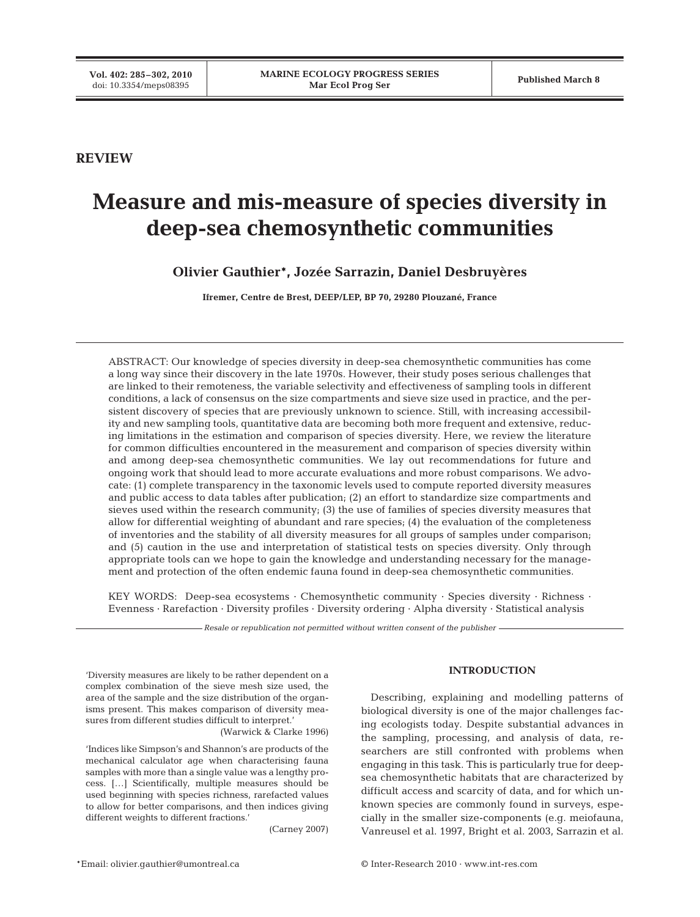**REVIEW**

# **Measure and mis-measure of species diversity in deep-sea chemosynthetic communities**

**Olivier Gauthier\*, Jozée Sarrazin, Daniel Desbruyères**

**Ifremer, Centre de Brest, DEEP/LEP, BP 70, 29280 Plouzané, France**

ABSTRACT: Our knowledge of species diversity in deep-sea chemosynthetic communities has come a long way since their discovery in the late 1970s. However, their study poses serious challenges that are linked to their remoteness, the variable selectivity and effectiveness of sampling tools in different conditions, a lack of consensus on the size compartments and sieve size used in practice, and the persistent discovery of species that are previously unknown to science. Still, with increasing accessibility and new sampling tools, quantitative data are becoming both more frequent and extensive, reducing limitations in the estimation and comparison of species diversity. Here, we review the literature for common difficulties encountered in the measurement and comparison of species diversity within and among deep-sea chemosynthetic communities. We lay out recommendations for future and ongoing work that should lead to more accurate evaluations and more robust comparisons. We advocate: (1) complete transparency in the taxonomic levels used to compute reported diversity measures and public access to data tables after publication; (2) an effort to standardize size compartments and sieves used within the research community; (3) the use of families of species diversity measures that allow for differential weighting of abundant and rare species; (4) the evaluation of the completeness of inventories and the stability of all diversity measures for all groups of samples under comparison; and (5) caution in the use and interpretation of statistical tests on species diversity. Only through appropriate tools can we hope to gain the knowledge and understanding necessary for the management and protection of the often endemic fauna found in deep-sea chemosynthetic communities.

KEY WORDS: Deep-sea ecosystems · Chemosynthetic community · Species diversity · Richness · Evenness · Rarefaction · Diversity profiles · Diversity ordering · Alpha diversity · Statistical analysis

*Resale or republication not permitted without written consent of the publisher*

'Diversity measures are likely to be rather dependent on a complex combination of the sieve mesh size used, the area of the sample and the size distribution of the organisms present. This makes comparison of diversity measures from different studies difficult to interpret*.*'

(Warwick & Clarke 1996)

'Indices like Simpson's and Shannon's are products of the mechanical calculator age when characterising fauna samples with more than a single value was a lengthy process. […] Scientifically, multiple measures should be used beginning with species richness, rarefacted values to allow for better comparisons, and then indices giving different weights to different fractions.'

(Carney 2007)

## **INTRODUCTION**

Describing, explaining and modelling patterns of biological diversity is one of the major challenges facing ecologists today. Despite substantial advances in the sampling, processing, and analysis of data, researchers are still confronted with problems when engaging in this task. This is particularly true for deepsea chemosynthetic habitats that are characterized by difficult access and scarcity of data, and for which unknown species are commonly found in surveys, especially in the smaller size-components (e.g. meiofauna, Vanreusel et al. 1997, Bright et al. 2003, Sarrazin et al.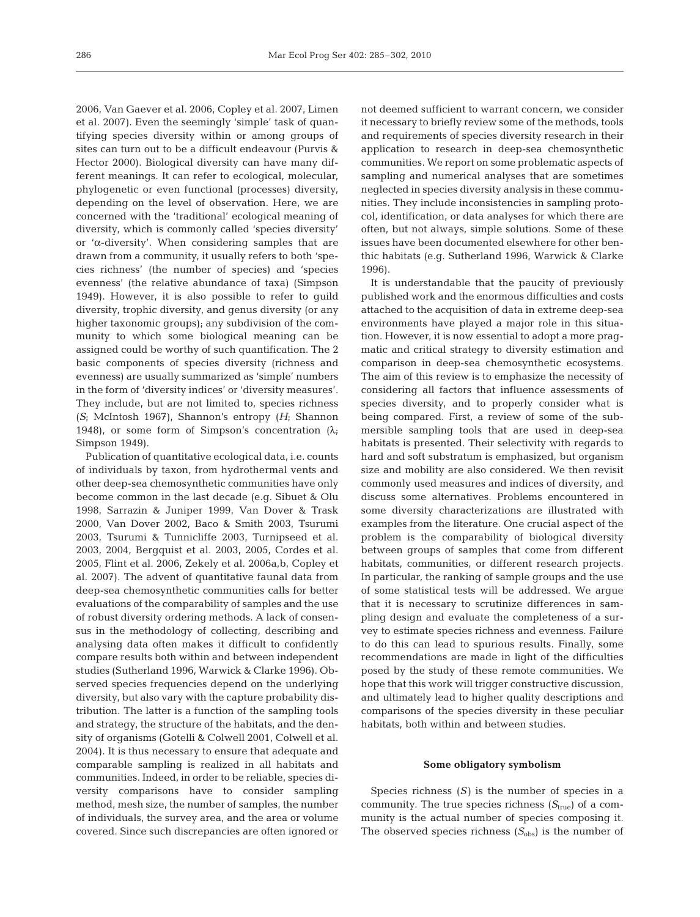2006, Van Gaever et al. 2006, Copley et al. 2007, Limen et al. 2007). Even the seemingly 'simple' task of quantifying species diversity within or among groups of sites can turn out to be a difficult endeavour (Purvis & Hector 2000). Biological diversity can have many different meanings. It can refer to ecological, molecular, phylogenetic or even functional (processes) diversity, depending on the level of observation. Here, we are concerned with the 'traditional' ecological meaning of diversity, which is commonly called 'species diversity' or 'α-diversity'. When considering samples that are drawn from a community, it usually refers to both 'species richness' (the number of species) and 'species evenness' (the relative abundance of taxa) (Simpson 1949). However, it is also possible to refer to guild diversity, trophic diversity, and genus diversity (or any higher taxonomic groups); any subdivision of the community to which some biological meaning can be assigned could be worthy of such quantification. The 2 basic components of species diversity (richness and evenness) are usually summarized as 'simple' numbers in the form of 'diversity indices' or 'diversity measures'. They include, but are not limited to, species richness (*S*; McIntosh 1967), Shannon's entropy (*H*; Shannon 1948), or some form of Simpson's concentration  $(\lambda_i)$ Simpson 1949).

Publication of quantitative ecological data, i.e. counts of individuals by taxon, from hydrothermal vents and other deep-sea chemosynthetic communities have only become common in the last decade (e.g. Sibuet & Olu 1998, Sarrazin & Juniper 1999, Van Dover & Trask 2000, Van Dover 2002, Baco & Smith 2003, Tsurumi 2003, Tsurumi & Tunnicliffe 2003, Turnipseed et al. 2003, 2004, Bergquist et al. 2003, 2005, Cordes et al. 2005, Flint et al. 2006, Zekely et al. 2006a,b, Copley et al. 2007). The advent of quantitative faunal data from deep-sea chemosynthetic communities calls for better evaluations of the comparability of samples and the use of robust diversity ordering methods. A lack of consensus in the methodology of collecting, describing and analysing data often makes it difficult to confidently compare results both within and between independent studies (Sutherland 1996, Warwick & Clarke 1996). Observed species frequencies depend on the underlying diversity, but also vary with the capture probability distribution. The latter is a function of the sampling tools and strategy, the structure of the habitats, and the density of organisms (Gotelli & Colwell 2001, Colwell et al. 2004). It is thus necessary to ensure that adequate and comparable sampling is realized in all habitats and communities. Indeed, in order to be reliable, species diversity comparisons have to consider sampling method, mesh size, the number of samples, the number of individuals, the survey area, and the area or volume covered. Since such discrepancies are often ignored or

not deemed sufficient to warrant concern, we consider it necessary to briefly review some of the methods, tools and requirements of species diversity research in their application to research in deep-sea chemosynthetic communities. We report on some problematic aspects of sampling and numerical analyses that are sometimes neglected in species diversity analysis in these communities. They include inconsistencies in sampling protocol, identification, or data analyses for which there are often, but not always, simple solutions. Some of these issues have been documented elsewhere for other benthic habitats (e.g. Sutherland 1996, Warwick & Clarke 1996).

It is understandable that the paucity of previously published work and the enormous difficulties and costs attached to the acquisition of data in extreme deep-sea environments have played a major role in this situation. However, it is now essential to adopt a more pragmatic and critical strategy to diversity estimation and comparison in deep-sea chemosynthetic ecosystems. The aim of this review is to emphasize the necessity of considering all factors that influence assessments of species diversity, and to properly consider what is being compared. First, a review of some of the submersible sampling tools that are used in deep-sea habitats is presented. Their selectivity with regards to hard and soft substratum is emphasized, but organism size and mobility are also considered. We then revisit commonly used measures and indices of diversity, and discuss some alternatives. Problems encountered in some diversity characterizations are illustrated with examples from the literature. One crucial aspect of the problem is the comparability of biological diversity between groups of samples that come from different habitats, communities, or different research projects. In particular, the ranking of sample groups and the use of some statistical tests will be addressed. We argue that it is necessary to scrutinize differences in sampling design and evaluate the completeness of a survey to estimate species richness and evenness. Failure to do this can lead to spurious results. Finally, some recommendations are made in light of the difficulties posed by the study of these remote communities. We hope that this work will trigger constructive discussion, and ultimately lead to higher quality descriptions and comparisons of the species diversity in these peculiar habitats, both within and between studies.

## **Some obligatory symbolism**

Species richness  $(S)$  is the number of species in a community. The true species richness  $(S_{true})$  of a community is the actual number of species composing it. The observed species richness  $(S_{obs})$  is the number of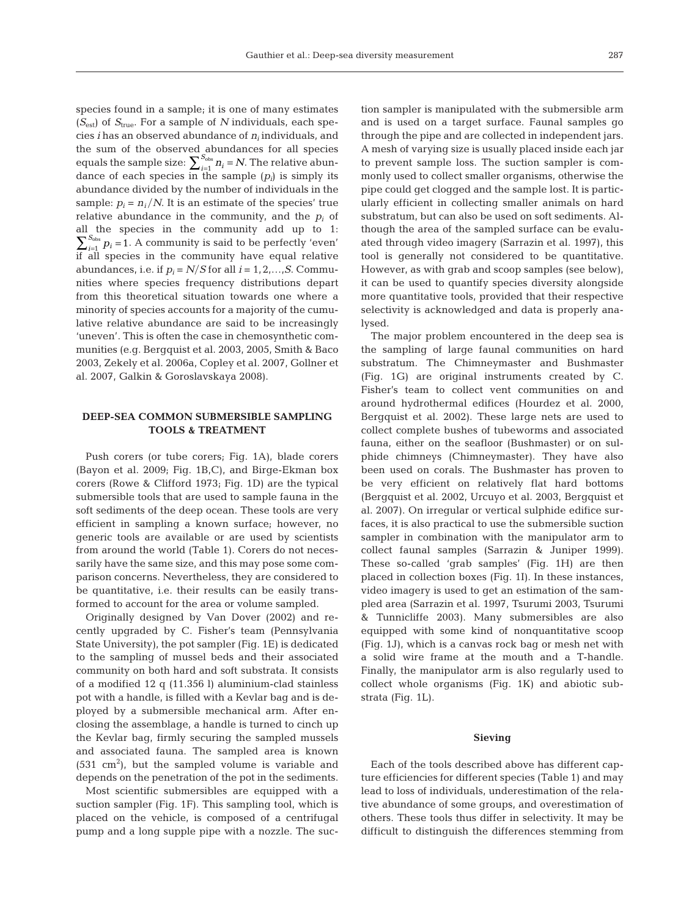species found in a sample; it is one of many estimates (*S*est) of *S*true. For a sample of *N* individuals, each species *i* has an observed abundance of *ni* individuals, and the sum of the observed abundances for all species equals the sample size:  $\sum_{i=1}^{S_{obs}} n_i = N$ . The relative abundance of each species in the sample  $(p_i)$  is simply its abundance divided by the number of individuals in the sample:  $p_i = n_i/N$ . It is an estimate of the species' true relative abundance in the community, and the  $p_i$  of all the species in the community add up to 1:  $\sum_{i=1}^{S_{obs}} p_i = 1$ . A community is said to be perfectly 'even' if all species in the community have equal relative abundances, i.e. if  $p_i = N/S$  for all  $i = 1, 2, ..., S$ . Communities where species frequency distributions depart from this theoretical situation towards one where a minority of species accounts for a majority of the cumulative relative abundance are said to be increasingly 'uneven'. This is often the case in chemosynthetic communities (e.g. Bergquist et al. 2003, 2005, Smith & Baco 2003, Zekely et al. 2006a, Copley et al. 2007, Gollner et al. 2007, Galkin & Goroslavskaya 2008).

# **DEEP-SEA COMMON SUBMERSIBLE SAMPLING TOOLS & TREATMENT**

Push corers (or tube corers; Fig. 1A), blade corers (Bayon et al. 2009; Fig. 1B,C), and Birge-Ekman box corers (Rowe & Clifford 1973; Fig. 1D) are the typical submersible tools that are used to sample fauna in the soft sediments of the deep ocean. These tools are very efficient in sampling a known surface; however, no generic tools are available or are used by scientists from around the world (Table 1). Corers do not necessarily have the same size, and this may pose some comparison concerns. Nevertheless, they are considered to be quantitative, i.e. their results can be easily transformed to account for the area or volume sampled.

Originally designed by Van Dover (2002) and recently upgraded by C. Fisher's team (Pennsylvania State University), the pot sampler (Fig. 1E) is dedicated to the sampling of mussel beds and their associated community on both hard and soft substrata. It consists of a modified 12 q (11.356 l) aluminium-clad stainless pot with a handle, is filled with a Kevlar bag and is deployed by a submersible mechanical arm. After enclosing the assemblage, a handle is turned to cinch up the Kevlar bag, firmly securing the sampled mussels and associated fauna. The sampled area is known  $(531 \text{ cm}^2)$ , but the sampled volume is variable and depends on the penetration of the pot in the sediments.

Most scientific submersibles are equipped with a suction sampler (Fig. 1F). This sampling tool, which is placed on the vehicle, is composed of a centrifugal pump and a long supple pipe with a nozzle. The suction sampler is manipulated with the submersible arm and is used on a target surface. Faunal samples go through the pipe and are collected in independent jars. A mesh of varying size is usually placed inside each jar to prevent sample loss. The suction sampler is commonly used to collect smaller organisms, otherwise the pipe could get clogged and the sample lost. It is particularly efficient in collecting smaller animals on hard substratum, but can also be used on soft sediments. Although the area of the sampled surface can be evaluated through video imagery (Sarrazin et al. 1997), this tool is generally not considered to be quantitative. However, as with grab and scoop samples (see below), it can be used to quantify species diversity alongside more quantitative tools, provided that their respective selectivity is acknowledged and data is properly analysed.

The major problem encountered in the deep sea is the sampling of large faunal communities on hard substratum. The Chimneymaster and Bushmaster (Fig. 1G) are original instruments created by C. Fisher's team to collect vent communities on and around hydrothermal edifices (Hourdez et al. 2000, Bergquist et al. 2002). These large nets are used to collect complete bushes of tubeworms and associated fauna, either on the seafloor (Bushmaster) or on sulphide chimneys (Chimneymaster). They have also been used on corals. The Bushmaster has proven to be very efficient on relatively flat hard bottoms (Bergquist et al. 2002, Urcuyo et al. 2003, Bergquist et al. 2007). On irregular or vertical sulphide edifice surfaces, it is also practical to use the submersible suction sampler in combination with the manipulator arm to collect faunal samples (Sarrazin & Juniper 1999). These so-called 'grab samples' (Fig. 1H) are then placed in collection boxes (Fig. 1I). In these instances, video imagery is used to get an estimation of the sampled area (Sarrazin et al. 1997, Tsurumi 2003, Tsurumi & Tunnicliffe 2003). Many submersibles are also equipped with some kind of nonquantitative scoop (Fig. 1J), which is a canvas rock bag or mesh net with a solid wire frame at the mouth and a T-handle. Finally, the manipulator arm is also regularly used to collect whole organisms (Fig. 1K) and abiotic substrata (Fig. 1L).

## **Sieving**

Each of the tools described above has different capture efficiencies for different species (Table 1) and may lead to loss of individuals, underestimation of the relative abundance of some groups, and overestimation of others. These tools thus differ in selectivity. It may be difficult to distinguish the differences stemming from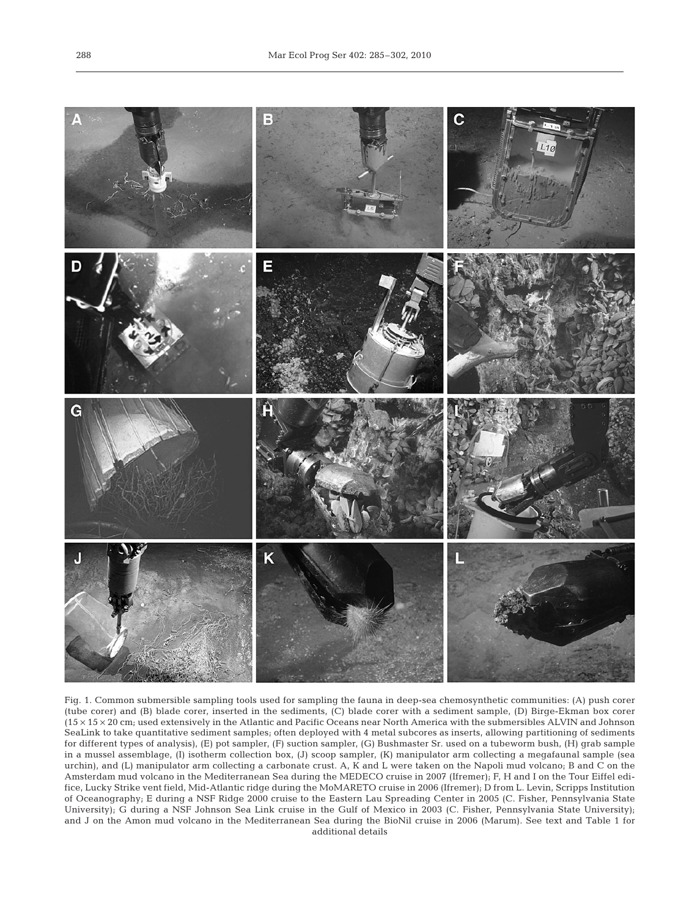

Fig. 1. Common submersible sampling tools used for sampling the fauna in deep-sea chemosynthetic communities: (A) push corer (tube corer) and (B) blade corer, inserted in the sediments, (C) blade corer with a sediment sample, (D) Birge-Ekman box corer (15 × 15 × 20 cm; used extensively in the Atlantic and Pacific Oceans near North America with the submersibles ALVIN and Johnson SeaLink to take quantitative sediment samples; often deployed with 4 metal subcores as inserts, allowing partitioning of sediments for different types of analysis), (E) pot sampler, (F) suction sampler, (G) Bushmaster Sr. used on a tubeworm bush, (H) grab sample in a mussel assemblage, (I) isotherm collection box, (J) scoop sampler, (K) manipulator arm collecting a megafaunal sample (sea urchin), and (L) manipulator arm collecting a carbonate crust. A, K and L were taken on the Napoli mud volcano; B and C on the Amsterdam mud volcano in the Mediterranean Sea during the MEDECO cruise in 2007 (Ifremer); F, H and I on the Tour Eiffel edifice, Lucky Strike vent field, Mid-Atlantic ridge during the MoMARETO cruise in 2006 (Ifremer); D from L. Levin, Scripps Institution of Oceanography; E during a NSF Ridge 2000 cruise to the Eastern Lau Spreading Center in 2005 (C. Fisher, Pennsylvania State University); G during a NSF Johnson Sea Link cruise in the Gulf of Mexico in 2003 (C. Fisher, Pennsylvania State University); and J on the Amon mud volcano in the Mediterranean Sea during the BioNil cruise in 2006 (Marum). See text and Table 1 for additional details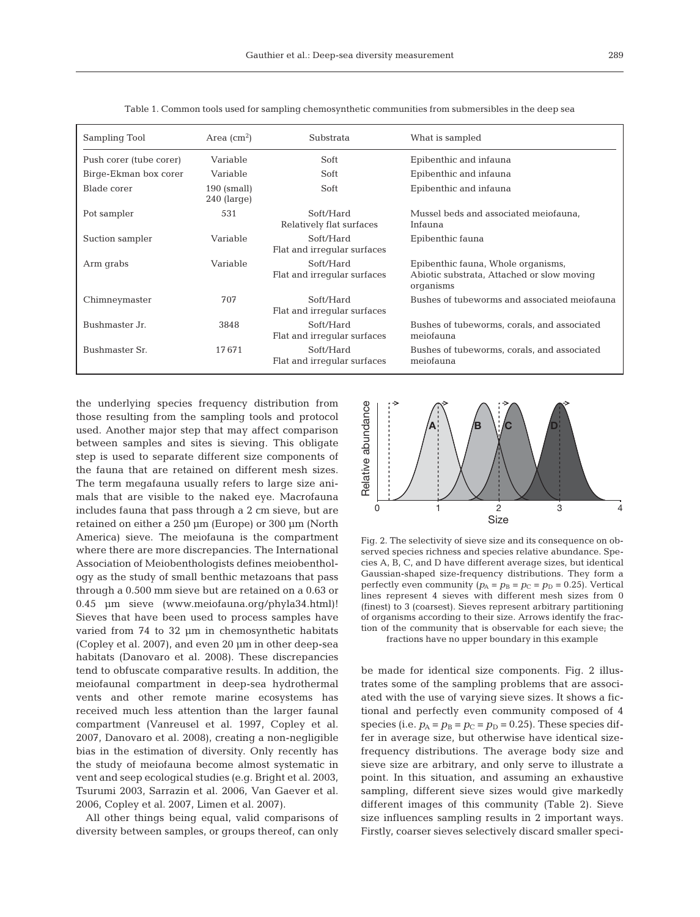| Sampling Tool           | Area $\rm (cm^2)$              | Substrata                                | What is sampled                                                                               |  |
|-------------------------|--------------------------------|------------------------------------------|-----------------------------------------------------------------------------------------------|--|
| Push corer (tube corer) | Variable                       | Soft                                     | Epibenthic and infauna                                                                        |  |
| Birge-Ekman box corer   | Variable                       | Soft                                     | Epibenthic and infauna                                                                        |  |
| Blade corer             | $190$ (small)<br>$240$ (large) | Soft                                     | Epibenthic and infauna                                                                        |  |
| Pot sampler             | 531                            | Soft/Hard<br>Relatively flat surfaces    | Mussel beds and associated meiofauna,<br>Infauna                                              |  |
| Suction sampler         | Variable                       | Soft/Hard<br>Flat and irregular surfaces | Epibenthic fauna                                                                              |  |
| Arm grabs               | Variable                       | Soft/Hard<br>Flat and irregular surfaces | Epibenthic fauna, Whole organisms,<br>Abiotic substrata, Attached or slow moving<br>organisms |  |
| Chimneymaster           | 707                            | Soft/Hard<br>Flat and irregular surfaces | Bushes of tubeworms and associated meiofauna                                                  |  |
| Bushmaster Jr.          | 3848                           | Soft/Hard<br>Flat and irregular surfaces | Bushes of tubeworms, corals, and associated<br>meiofauna                                      |  |
| Bushmaster Sr.          | 17671                          | Soft/Hard<br>Flat and irregular surfaces | Bushes of tubeworms, corals, and associated<br>meiofauna                                      |  |

Table 1. Common tools used for sampling chemosynthetic communities from submersibles in the deep sea

the underlying species frequency distribution from those resulting from the sampling tools and protocol used. Another major step that may affect comparison between samples and sites is sieving. This obligate step is used to separate different size components of the fauna that are retained on different mesh sizes. The term megafauna usually refers to large size animals that are visible to the naked eye. Macrofauna includes fauna that pass through a 2 cm sieve, but are retained on either a 250 µm (Europe) or 300 µm (North America) sieve. The meiofauna is the compartment where there are more discrepancies. The International Association of Meiobenthologists defines meiobenthology as the study of small benthic metazoans that pass through a 0.500 mm sieve but are retained on a 0.63 or 0.45 µm sieve (www.meiofauna.org/phyla34.html)! Sieves that have been used to process samples have varied from 74 to 32 µm in chemosynthetic habitats (Copley et al. 2007), and even 20 µm in other deep-sea habitats (Danovaro et al. 2008). These discrepancies tend to obfuscate comparative results. In addition, the meiofaunal compartment in deep-sea hydrothermal vents and other remote marine ecosystems has received much less attention than the larger faunal compartment (Vanreusel et al. 1997, Copley et al. 2007, Danovaro et al. 2008), creating a non-negligible bias in the estimation of diversity. Only recently has the study of meiofauna become almost systematic in vent and seep ecological studies (e.g. Bright et al. 2003, Tsurumi 2003, Sarrazin et al. 2006, Van Gaever et al. 2006, Copley et al. 2007, Limen et al. 2007).

All other things being equal, valid comparisons of diversity between samples, or groups thereof, can only



Fig. 2. The selectivity of sieve size and its consequence on observed species richness and species relative abundance. Species A, B, C, and D have different average sizes, but identical Gaussian-shaped size-frequency distributions. They form a perfectly even community  $(p_A = p_B = p_C = p_D = 0.25)$ . Vertical lines represent 4 sieves with different mesh sizes from 0 (finest) to 3 (coarsest). Sieves represent arbitrary partitioning of organisms according to their size. Arrows identify the fraction of the community that is observable for each sieve; the

fractions have no upper boundary in this example

be made for identical size components. Fig. 2 illustrates some of the sampling problems that are associated with the use of varying sieve sizes. It shows a fictional and perfectly even community composed of 4 species (i.e.  $p_A = p_B = p_C = p_D = 0.25$ ). These species differ in average size, but otherwise have identical sizefrequency distributions. The average body size and sieve size are arbitrary, and only serve to illustrate a point. In this situation, and assuming an exhaustive sampling, different sieve sizes would give markedly different images of this community (Table 2). Sieve size influences sampling results in 2 important ways. Firstly, coarser sieves selectively discard smaller speci-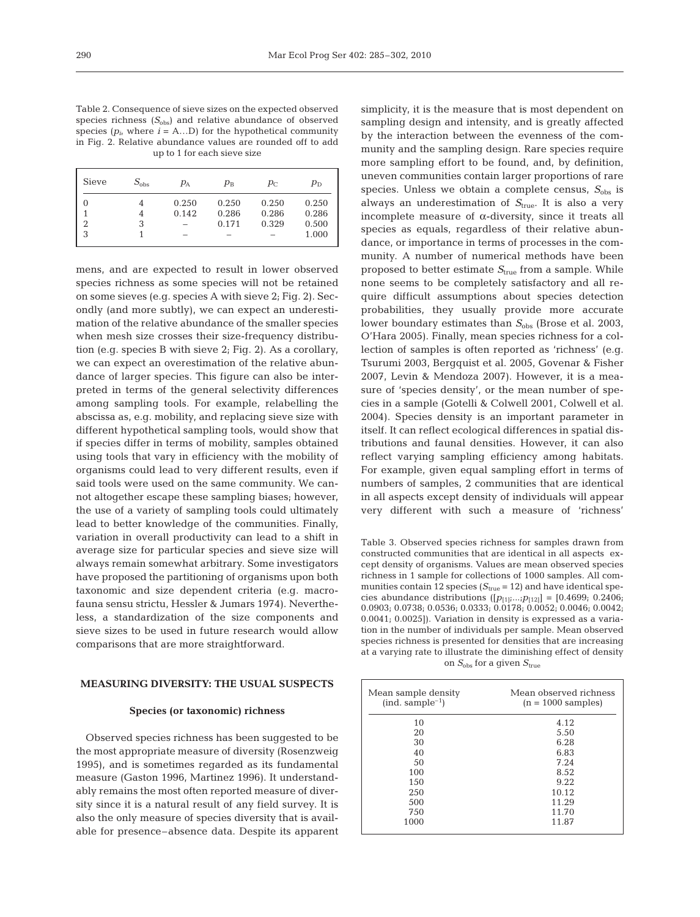Table 2. Consequence of sieve sizes on the expected observed species richness  $(S_{obs})$  and relative abundance of observed species  $(p_i$ , where  $i = A...D$ ) for the hypothetical community in Fig. 2. Relative abundance values are rounded off to add up to 1 for each sieve size

| Sieve | $S_{\rm obs}$ | $p_{\rm A}$ | $p_{\rm B}$ | $p_{\rm C}$ | $p_{\rm D}$ |
|-------|---------------|-------------|-------------|-------------|-------------|
| 0     |               | 0.250       | 0.250       | 0.250       | 0.250       |
|       |               | 0.142       | 0.286       | 0.286       | 0.286       |
| 2     | 3             |             | 0.171       | 0.329       | 0.500       |
| 3     |               |             |             |             | 1.000       |
|       |               |             |             |             |             |

mens, and are expected to result in lower observed species richness as some species will not be retained on some sieves (e.g. species A with sieve 2; Fig. 2). Secondly (and more subtly), we can expect an underestimation of the relative abundance of the smaller species when mesh size crosses their size-frequency distribution (e.g. species B with sieve 2; Fig. 2). As a corollary, we can expect an overestimation of the relative abundance of larger species. This figure can also be interpreted in terms of the general selectivity differences among sampling tools. For example, relabelling the abscissa as, e.g. mobility, and replacing sieve size with different hypothetical sampling tools, would show that if species differ in terms of mobility, samples obtained using tools that vary in efficiency with the mobility of organisms could lead to very different results, even if said tools were used on the same community. We cannot altogether escape these sampling biases; however, the use of a variety of sampling tools could ultimately lead to better knowledge of the communities. Finally, variation in overall productivity can lead to a shift in average size for particular species and sieve size will always remain somewhat arbitrary. Some investigators have proposed the partitioning of organisms upon both taxonomic and size dependent criteria (e.g. macrofauna sensu strictu, Hessler & Jumars 1974). Nevertheless, a standardization of the size components and sieve sizes to be used in future research would allow comparisons that are more straightforward.

# **MEASURING DIVERSITY: THE USUAL SUSPECTS**

#### **Species (or taxonomic) richness**

Observed species richness has been suggested to be the most appropriate measure of diversity (Rosenzweig 1995), and is sometimes regarded as its fundamental measure (Gaston 1996, Martinez 1996). It understandably remains the most often reported measure of diversity since it is a natural result of any field survey. It is also the only measure of species diversity that is available for presence–absence data. Despite its apparent

simplicity, it is the measure that is most dependent on sampling design and intensity, and is greatly affected by the interaction between the evenness of the community and the sampling design. Rare species require more sampling effort to be found, and, by definition, uneven communities contain larger proportions of rare species. Unless we obtain a complete census,  $S_{\text{obs}}$  is always an underestimation of  $S_{true}$ . It is also a very incomplete measure of α-diversity, since it treats all species as equals, regardless of their relative abundance, or importance in terms of processes in the community. A number of numerical methods have been proposed to better estimate  $S_{true}$  from a sample. While none seems to be completely satisfactory and all require difficult assumptions about species detection probabilities, they usually provide more accurate lower boundary estimates than  $S_{obs}$  (Brose et al. 2003, O'Hara 2005). Finally, mean species richness for a collection of samples is often reported as 'richness' (e.g. Tsurumi 2003, Bergquist et al. 2005, Govenar & Fisher 2007, Levin & Mendoza 2007). However, it is a measure of 'species density', or the mean number of species in a sample (Gotelli & Colwell 2001, Colwell et al. 2004). Species density is an important parameter in itself. It can reflect ecological differences in spatial distributions and faunal densities. However, it can also reflect varying sampling efficiency among habitats. For example, given equal sampling effort in terms of numbers of samples, 2 communities that are identical in all aspects except density of individuals will appear very different with such a measure of 'richness'

Table 3. Observed species richness for samples drawn from constructed communities that are identical in all aspects except density of organisms. Values are mean observed species richness in 1 sample for collections of 1000 samples. All communities contain 12 species  $(S_{true} = 12)$  and have identical species abundance distributions  $([p_{11};...;p_{12}] = [0.4699; 0.2406;$ 0.0903; 0.0738; 0.0536; 0.0333; 0.0178; 0.0052; 0.0046; 0.0042; 0.0041; 0.0025]). Variation in density is expressed as a variation in the number of individuals per sample. Mean observed species richness is presented for densities that are increasing at a varying rate to illustrate the diminishing effect of density on  $S_{obs}$  for a given  $S_{true}$ 

| Mean sample density<br>$(ind. sample-1)$ | Mean observed richness<br>$(n = 1000$ samples) |  |  |
|------------------------------------------|------------------------------------------------|--|--|
| 10                                       | 4.12                                           |  |  |
| 20                                       | 5.50                                           |  |  |
| 30                                       | 6.28                                           |  |  |
| 40                                       | 6.83                                           |  |  |
| 50                                       | 7.24                                           |  |  |
| 100                                      | 8.52                                           |  |  |
| 150                                      | 9.22                                           |  |  |
| 250                                      | 10.12                                          |  |  |
| 500                                      | 11.29                                          |  |  |
| 750                                      | 11.70                                          |  |  |
| 1000                                     | 11.87                                          |  |  |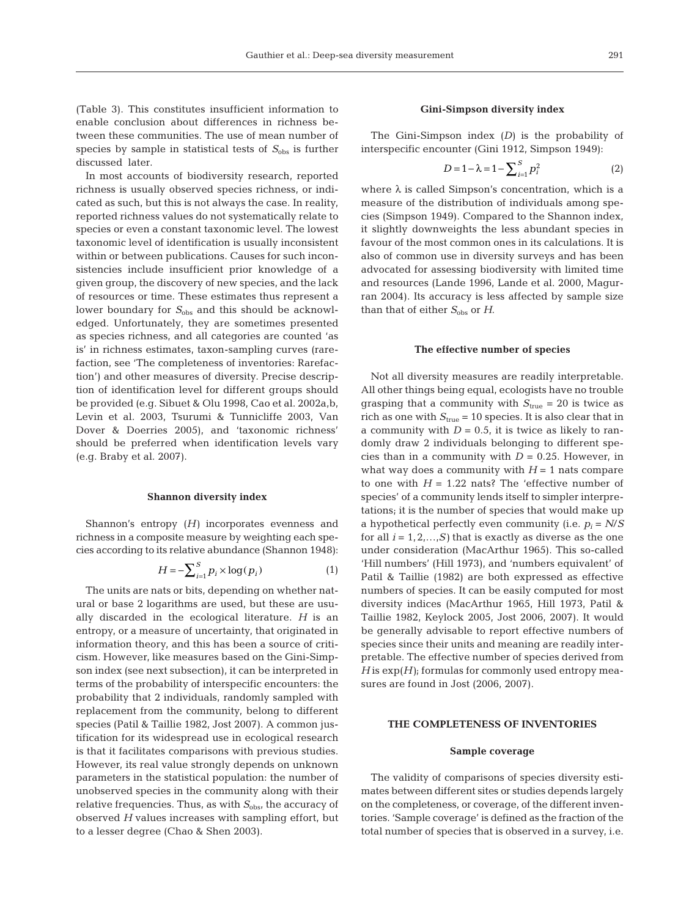(Table 3). This constitutes insufficient information to enable conclusion about differences in richness between these communities. The use of mean number of species by sample in statistical tests of  $S_{obs}$  is further discussed later.

In most accounts of biodiversity research, reported richness is usually observed species richness, or indicated as such, but this is not always the case. In reality, reported richness values do not systematically relate to species or even a constant taxonomic level. The lowest taxonomic level of identification is usually inconsistent within or between publications. Causes for such inconsistencies include insufficient prior knowledge of a given group, the discovery of new species, and the lack of resources or time. These estimates thus represent a lower boundary for  $S_{obs}$  and this should be acknowledged. Unfortunately, they are sometimes presented as species richness, and all categories are counted 'as is' in richness estimates, taxon-sampling curves (rarefaction, see 'The completeness of inventories: Rarefaction') and other measures of diversity. Precise description of identification level for different groups should be provided (e.g. Sibuet & Olu 1998, Cao et al. 2002a,b, Levin et al. 2003, Tsurumi & Tunnicliffe 2003, Van Dover & Doerries 2005), and 'taxonomic richness' should be preferred when identification levels vary (e.g. Braby et al. 2007).

## **Shannon diversity index**

Shannon's entropy (*H)* incorporates evenness and richness in a composite measure by weighting each species according to its relative abundance (Shannon 1948):

$$
H = -\sum_{i=1}^{S} p_i \times \log(p_i)
$$
 (1)

The units are nats or bits, depending on whether natural or base 2 logarithms are used, but these are usually discarded in the ecological literature. *H* is an entropy, or a measure of uncertainty, that originated in information theory, and this has been a source of criticism. However, like measures based on the Gini-Simpson index (see next subsection), it can be interpreted in terms of the probability of interspecific encounters: the probability that 2 individuals, randomly sampled with replacement from the community, belong to different species (Patil & Taillie 1982, Jost 2007). A common justification for its widespread use in ecological research is that it facilitates comparisons with previous studies. However, its real value strongly depends on unknown parameters in the statistical population: the number of unobserved species in the community along with their relative frequencies. Thus, as with  $S_{\text{obs}}$ , the accuracy of observed *H* values increases with sampling effort, but to a lesser degree (Chao & Shen 2003).

## **Gini-Simpson diversity index**

The Gini-Simpson index (*D)* is the probability of interspecific encounter (Gini 1912, Simpson 1949):

$$
D = 1 - \lambda = 1 - \sum_{i=1}^{S} p_i^2
$$
 (2)

where  $\lambda$  is called Simpson's concentration, which is a measure of the distribution of individuals among species (Simpson 1949). Compared to the Shannon index, it slightly downweights the less abundant species in favour of the most common ones in its calculations. It is also of common use in diversity surveys and has been advocated for assessing biodiversity with limited time and resources (Lande 1996, Lande et al. 2000, Magurran 2004). Its accuracy is less affected by sample size than that of either  $S_{obs}$  or *H*.

#### **The effective number of species**

Not all diversity measures are readily interpretable. All other things being equal, ecologists have no trouble grasping that a community with  $S_{\text{true}} = 20$  is twice as rich as one with  $S_{true} = 10$  species. It is also clear that in a community with  $D = 0.5$ , it is twice as likely to randomly draw 2 individuals belonging to different species than in a community with  $D = 0.25$ . However, in what way does a community with  $H = 1$  nats compare to one with  $H = 1.22$  nats? The 'effective number of species' of a community lends itself to simpler interpretations; it is the number of species that would make up a hypothetical perfectly even community (i.e.  $p_i = N/S$ for all  $i = 1, 2, \ldots, S$ ) that is exactly as diverse as the one under consideration (MacArthur 1965). This so-called 'Hill numbers' (Hill 1973), and 'numbers equivalent' of Patil & Taillie (1982) are both expressed as effective numbers of species. It can be easily computed for most diversity indices (MacArthur 1965, Hill 1973, Patil & Taillie 1982, Keylock 2005, Jost 2006, 2007). It would be generally advisable to report effective numbers of species since their units and meaning are readily interpretable. The effective number of species derived from  $H$  is  $\exp(H)$ ; formulas for commonly used entropy measures are found in Jost (2006, 2007).

# **THE COMPLETENESS OF INVENTORIES**

## **Sample coverage**

The validity of comparisons of species diversity estimates between different sites or studies depends largely on the completeness, or coverage, of the different inventories. 'Sample coverage' is defined as the fraction of the total number of species that is observed in a survey, i.e.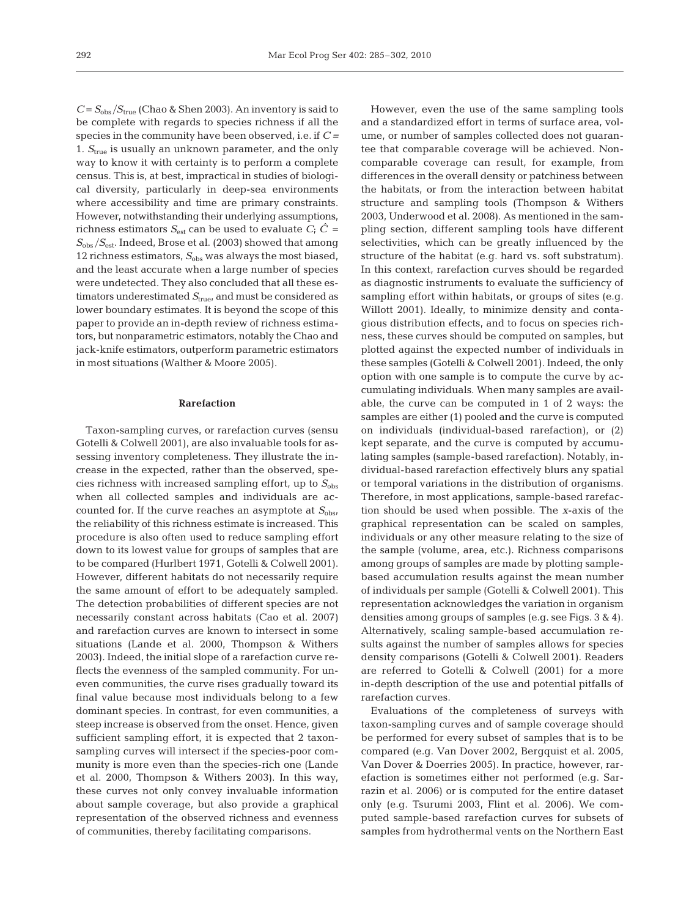$C = S_{obs}/S_{true}$  (Chao & Shen 2003). An inventory is said to be complete with regards to species richness if all the species in the community have been observed, i.e. if *C =* 1. *S*true is usually an unknown parameter, and the only way to know it with certainty is to perform a complete census. This is, at best, impractical in studies of biological diversity, particularly in deep-sea environments where accessibility and time are primary constraints. However, notwithstanding their underlying assumptions, richness estimators  $S_{est}$  can be used to evaluate  $C_i$   $\hat{C}$  =  $S_{\rm obs}/S_{\rm est}$ . Indeed, Brose et al. (2003) showed that among 12 richness estimators,  $S_{obs}$  was always the most biased, and the least accurate when a large number of species were undetected. They also concluded that all these estimators underestimated  $S_{true}$ , and must be considered as lower boundary estimates. It is beyond the scope of this paper to provide an in-depth review of richness estimators, but nonparametric estimators, notably the Chao and jack-knife estimators, outperform parametric estimators in most situations (Walther & Moore 2005).

## **Rarefaction**

Taxon-sampling curves, or rarefaction curves (sensu Gotelli & Colwell 2001), are also invaluable tools for assessing inventory completeness. They illustrate the increase in the expected, rather than the observed, species richness with increased sampling effort, up to  $S_{obs}$ when all collected samples and individuals are accounted for. If the curve reaches an asymptote at  $S_{\text{obs}}$ , the reliability of this richness estimate is increased. This procedure is also often used to reduce sampling effort down to its lowest value for groups of samples that are to be compared (Hurlbert 1971, Gotelli & Colwell 2001). However, different habitats do not necessarily require the same amount of effort to be adequately sampled. The detection probabilities of different species are not necessarily constant across habitats (Cao et al. 2007) and rarefaction curves are known to intersect in some situations (Lande et al. 2000, Thompson & Withers 2003). Indeed, the initial slope of a rarefaction curve reflects the evenness of the sampled community. For uneven communities, the curve rises gradually toward its final value because most individuals belong to a few dominant species. In contrast, for even communities, a steep increase is observed from the onset. Hence, given sufficient sampling effort, it is expected that 2 taxonsampling curves will intersect if the species-poor community is more even than the species-rich one (Lande et al. 2000, Thompson & Withers 2003). In this way, these curves not only convey invaluable information about sample coverage, but also provide a graphical representation of the observed richness and evenness of communities, thereby facilitating comparisons.

However, even the use of the same sampling tools and a standardized effort in terms of surface area, volume, or number of samples collected does not guarantee that comparable coverage will be achieved. Noncomparable coverage can result, for example, from differences in the overall density or patchiness between the habitats, or from the interaction between habitat structure and sampling tools (Thompson & Withers 2003, Underwood et al. 2008). As mentioned in the sampling section, different sampling tools have different selectivities, which can be greatly influenced by the structure of the habitat (e.g. hard vs. soft substratum). In this context, rarefaction curves should be regarded as diagnostic instruments to evaluate the sufficiency of sampling effort within habitats, or groups of sites (e.g. Willott 2001). Ideally, to minimize density and contagious distribution effects, and to focus on species richness, these curves should be computed on samples, but plotted against the expected number of individuals in these samples (Gotelli & Colwell 2001). Indeed, the only option with one sample is to compute the curve by accumulating individuals. When many samples are available, the curve can be computed in 1 of 2 ways: the samples are either (1) pooled and the curve is computed on individuals (individual-based rarefaction), or (2) kept separate, and the curve is computed by accumulating samples (sample-based rarefaction). Notably, individual-based rarefaction effectively blurs any spatial or temporal variations in the distribution of organisms. Therefore, in most applications, sample-based rarefaction should be used when possible. The *x*-axis of the graphical representation can be scaled on samples, individuals or any other measure relating to the size of the sample (volume, area, etc.). Richness comparisons among groups of samples are made by plotting samplebased accumulation results against the mean number of individuals per sample (Gotelli & Colwell 2001). This representation acknowledges the variation in organism densities among groups of samples (e.g. see Figs. 3 & 4). Alternatively, scaling sample-based accumulation results against the number of samples allows for species density comparisons (Gotelli & Colwell 2001). Readers are referred to Gotelli & Colwell (2001) for a more in-depth description of the use and potential pitfalls of rarefaction curves.

Evaluations of the completeness of surveys with taxon-sampling curves and of sample coverage should be performed for every subset of samples that is to be compared (e.g. Van Dover 2002, Bergquist et al. 2005, Van Dover & Doerries 2005). In practice, however, rarefaction is sometimes either not performed (e.g. Sarrazin et al. 2006) or is computed for the entire dataset only (e.g. Tsurumi 2003, Flint et al. 2006). We computed sample-based rarefaction curves for subsets of samples from hydrothermal vents on the Northern East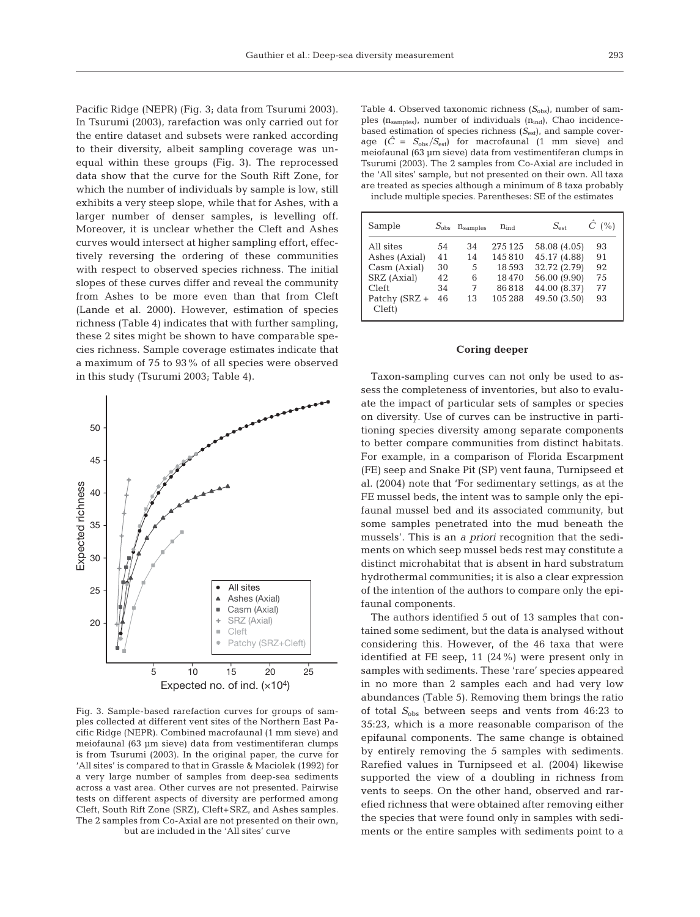Pacific Ridge (NEPR) (Fig. 3; data from Tsurumi 2003). In Tsurumi (2003), rarefaction was only carried out for the entire dataset and subsets were ranked according to their diversity, albeit sampling coverage was unequal within these groups (Fig. 3). The reprocessed data show that the curve for the South Rift Zone, for which the number of individuals by sample is low, still exhibits a very steep slope, while that for Ashes, with a larger number of denser samples, is levelling off. Moreover, it is unclear whether the Cleft and Ashes curves would intersect at higher sampling effort, effectively reversing the ordering of these communities with respect to observed species richness. The initial slopes of these curves differ and reveal the community from Ashes to be more even than that from Cleft (Lande et al. 2000). However, estimation of species richness (Table 4) indicates that with further sampling, these 2 sites might be shown to have comparable species richness. Sample coverage estimates indicate that a maximum of 75 to 93% of all species were observed in this study (Tsurumi 2003; Table 4).



Fig. 3. Sample-based rarefaction curves for groups of samples collected at different vent sites of the Northern East Pacific Ridge (NEPR). Combined macrofaunal (1 mm sieve) and meiofaunal (63 µm sieve) data from vestimentiferan clumps is from Tsurumi (2003). In the original paper, the curve for 'All sites' is compared to that in Grassle & Maciolek (1992) for a very large number of samples from deep-sea sediments across a vast area. Other curves are not presented. Pairwise tests on different aspects of diversity are performed among Cleft, South Rift Zone (SRZ), Cleft+SRZ, and Ashes samples. The 2 samples from Co-Axial are not presented on their own, but are included in the 'All sites' curve

Table 4. Observed taxonomic richness (S<sub>obs</sub>), number of samples  $(n_{samples})$ , number of individuals  $(n_{ind})$ , Chao incidencebased estimation of species richness ( $S_{est}$ ), and sample coverage  $(\hat{C} = S_{\text{obs}}/S_{\text{est}})$  for macrofaunal  $(1 \text{ mm} \text{ sieve})$  and meiofaunal (63 µm sieve) data from vestimentiferan clumps in Tsurumi (2003). The 2 samples from Co-Axial are included in the 'All sites' sample, but not presented on their own. All taxa are treated as species although a minimum of 8 taxa probably include multiple species. Parentheses: SE of the estimates

| Sample                  |    | $S_{\rm obs}$ $n_{\rm samples}$ | $n_{ind}$ | $S_{\text{est}}$ | $\hat{C}$ (%) |
|-------------------------|----|---------------------------------|-----------|------------------|---------------|
| All sites               | 54 | 34                              | 275 125   | 58.08 (4.05)     | 93            |
| Ashes (Axial)           | 41 | 14                              | 145810    | 45.17 (4.88)     | 91            |
| Casm (Axial)            | 30 | 5                               | 18593     | 32.72 (2.79)     | 92            |
| SRZ (Axial)             | 42 | 6                               | 18470     | 56.00 (9.90)     | 75            |
| <b>Cleft</b>            | 34 | 7                               | 86818     | 44.00 (8.37)     | 77            |
| Patchy (SRZ +<br>Cleft) | 46 | 13                              | 105288    | 49.50 (3.50)     | 93            |

### **Coring deeper**

Taxon-sampling curves can not only be used to assess the completeness of inventories, but also to evaluate the impact of particular sets of samples or species on diversity. Use of curves can be instructive in partitioning species diversity among separate components to better compare communities from distinct habitats. For example, in a comparison of Florida Escarpment (FE) seep and Snake Pit (SP) vent fauna, Turnipseed et al. (2004) note that 'For sedimentary settings, as at the FE mussel beds, the intent was to sample only the epifaunal mussel bed and its associated community, but some samples penetrated into the mud beneath the mussels'. This is an *a priori* recognition that the sediments on which seep mussel beds rest may constitute a distinct microhabitat that is absent in hard substratum hydrothermal communities; it is also a clear expression of the intention of the authors to compare only the epifaunal components.

The authors identified 5 out of 13 samples that contained some sediment, but the data is analysed without considering this. However, of the 46 taxa that were identified at FE seep, 11 (24%) were present only in samples with sediments. These 'rare' species appeared in no more than 2 samples each and had very low abundances (Table 5). Removing them brings the ratio of total  $S_{obs}$  between seeps and vents from 46:23 to 35:23, which is a more reasonable comparison of the epifaunal components. The same change is obtained by entirely removing the 5 samples with sediments. Rarefied values in Turnipseed et al. (2004) likewise supported the view of a doubling in richness from vents to seeps. On the other hand, observed and rarefied richness that were obtained after removing either the species that were found only in samples with sediments or the entire samples with sediments point to a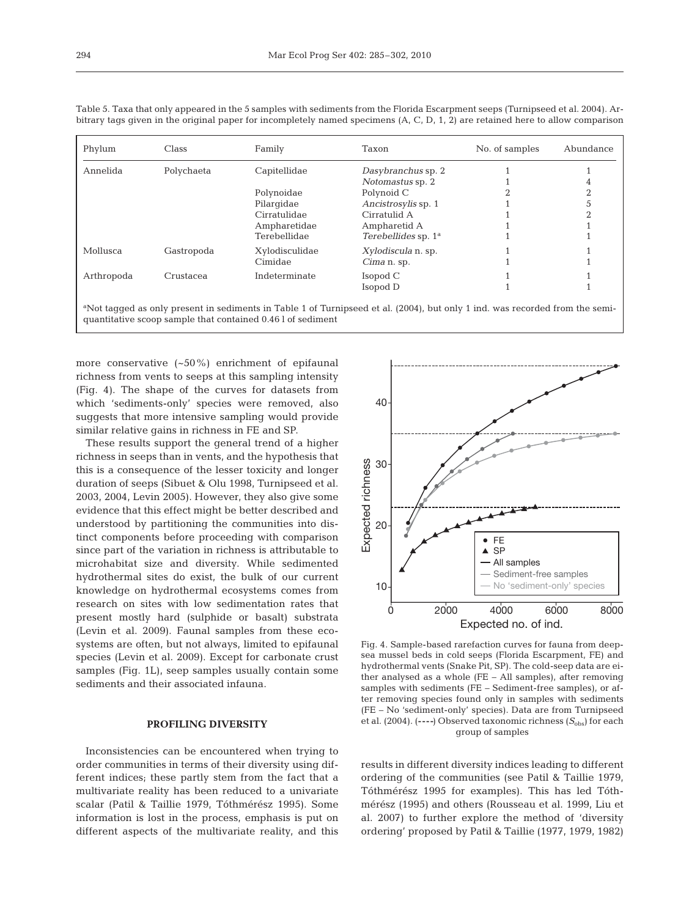| Phylum     | Class      | Family         | Taxon                     | No. of samples | Abundance |
|------------|------------|----------------|---------------------------|----------------|-----------|
| Annelida   | Polychaeta | Capitellidae   | Dasybranchus sp. 2        |                |           |
|            |            |                | Notomastus sp. 2          |                | 4         |
|            |            | Polynoidae     | Polynoid C                |                | $\Omega$  |
|            |            | Pilargidae     | Ancistrosylis sp. 1       |                |           |
|            |            | Cirratulidae   | Cirratulid A              |                | ∩         |
|            |            | Ampharetidae   | Ampharetid A              |                |           |
|            |            | Terebellidae   | Terebellides sp. $1a$     |                |           |
| Mollusca   | Gastropoda | Xylodisculidae | <i>Xylodiscula</i> n. sp. |                |           |
|            |            | Cimidae        | Cima n. sp.               |                |           |
| Arthropoda | Crustacea  | Indeterminate  | Isopod C                  |                |           |
|            |            |                | Isopod D                  |                |           |
|            |            |                |                           |                |           |

Table 5. Taxa that only appeared in the 5 samples with sediments from the Florida Escarpment seeps (Turnipseed et al. 2004). Arbitrary tags given in the original paper for incompletely named specimens (A, C, D, 1, 2) are retained here to allow comparison

a Not tagged as only present in sediments in Table 1 of Turnipseed et al. (2004), but only 1 ind. was recorded from the semiquantitative scoop sample that contained 0.46 l of sediment

more conservative (~50%) enrichment of epifaunal richness from vents to seeps at this sampling intensity (Fig. 4). The shape of the curves for datasets from which 'sediments-only' species were removed, also suggests that more intensive sampling would provide similar relative gains in richness in FE and SP.

These results support the general trend of a higher richness in seeps than in vents, and the hypothesis that this is a consequence of the lesser toxicity and longer duration of seeps (Sibuet & Olu 1998, Turnipseed et al. 2003, 2004, Levin 2005). However, they also give some evidence that this effect might be better described and understood by partitioning the communities into distinct components before proceeding with comparison since part of the variation in richness is attributable to microhabitat size and diversity. While sedimented hydrothermal sites do exist, the bulk of our current knowledge on hydrothermal ecosystems comes from research on sites with low sedimentation rates that present mostly hard (sulphide or basalt) substrata (Levin et al. 2009). Faunal samples from these ecosystems are often, but not always, limited to epifaunal species (Levin et al. 2009). Except for carbonate crust samples (Fig. 1L), seep samples usually contain some sediments and their associated infauna.

# **PROFILING DIVERSITY**

Inconsistencies can be encountered when trying to order communities in terms of their diversity using different indices; these partly stem from the fact that a multivariate reality has been reduced to a univariate scalar (Patil & Taillie 1979, Tóthmérész 1995). Some information is lost in the process, emphasis is put on different aspects of the multivariate reality, and this



Fig. 4. Sample-based rarefaction curves for fauna from deepsea mussel beds in cold seeps (Florida Escarpment, FE) and hydrothermal vents (Snake Pit, SP). The cold-seep data are either analysed as a whole (FE – All samples), after removing samples with sediments (FE – Sediment-free samples), or after removing species found only in samples with sediments (FE – No 'sediment-only' species). Data are from Turnipseed et al. (2004). (----) Observed taxonomic richness ( $S_{obs}$ ) for each group of samples

results in different diversity indices leading to different ordering of the communities (see Patil & Taillie 1979, Tóthmérész 1995 for examples). This has led Tóthmérész (1995) and others (Rousseau et al. 1999, Liu et al. 2007) to further explore the method of 'diversity ordering' proposed by Patil & Taillie (1977, 1979, 1982)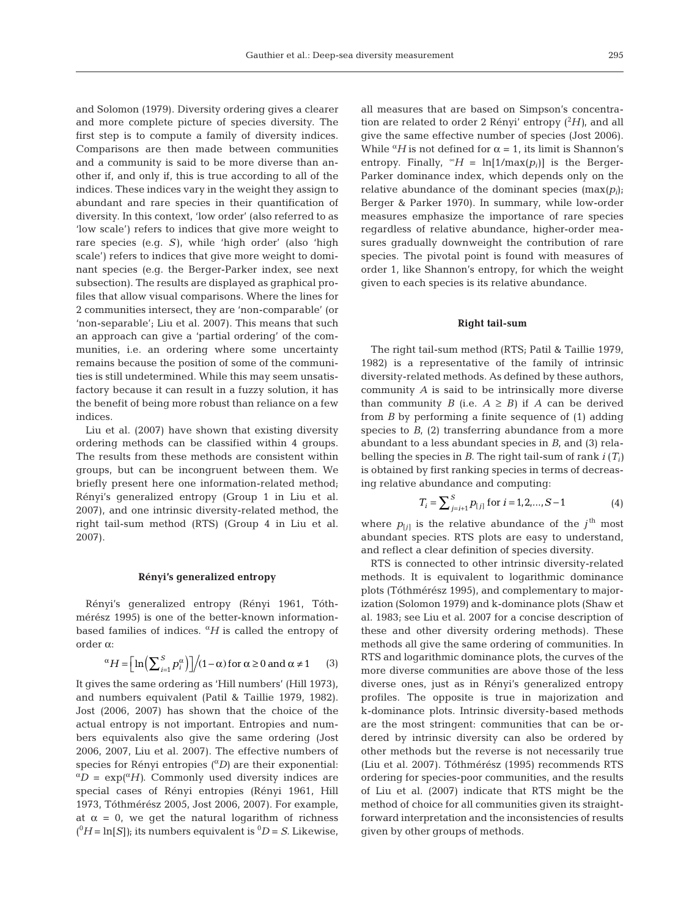and Solomon (1979). Diversity ordering gives a clearer and more complete picture of species diversity. The first step is to compute a family of diversity indices. Comparisons are then made between communities and a community is said to be more diverse than another if, and only if, this is true according to all of the indices. These indices vary in the weight they assign to abundant and rare species in their quantification of diversity. In this context, 'low order' (also referred to as 'low scale') refers to indices that give more weight to rare species (e.g. *S)*, while 'high order' (also 'high scale') refers to indices that give more weight to dominant species (e.g. the Berger-Parker index, see next subsection). The results are displayed as graphical profiles that allow visual comparisons. Where the lines for 2 communities intersect, they are 'non-comparable' (or 'non-separable'; Liu et al. 2007). This means that such an approach can give a 'partial ordering' of the communities, i.e. an ordering where some uncertainty remains because the position of some of the communities is still undetermined. While this may seem unsatisfactory because it can result in a fuzzy solution, it has the benefit of being more robust than reliance on a few indices.

Liu et al. (2007) have shown that existing diversity ordering methods can be classified within 4 groups. The results from these methods are consistent within groups, but can be incongruent between them. We briefly present here one information-related method; Rényi's generalized entropy (Group 1 in Liu et al. 2007), and one intrinsic diversity-related method, the right tail-sum method (RTS) (Group 4 in Liu et al. 2007).

### **Rényi's generalized entropy**

Rényi's generalized entropy (Rényi 1961, Tóthmérész 1995) is one of the better-known informationbased families of indices. <sup>α</sup>*H* is called the entropy of order α:

$$
\alpha H = \left[ \ln \left( \sum_{i=1}^{S} p_i^{\alpha} \right) \right] / (1 - \alpha) \text{ for } \alpha \ge 0 \text{ and } \alpha \ne 1 \qquad (3)
$$

It gives the same ordering as 'Hill numbers' (Hill 1973), and numbers equivalent (Patil & Taillie 1979, 1982). Jost (2006, 2007) has shown that the choice of the actual entropy is not important. Entropies and numbers equivalents also give the same ordering (Jost 2006, 2007, Liu et al. 2007). The effective numbers of species for Rényi entropies (<sup>α</sup>*D)* are their exponential: <sup>α</sup>*<sup>D</sup>* = exp(<sup>α</sup>*H)*. Commonly used diversity indices are special cases of Rényi entropies (Rényi 1961, Hill 1973, Tóthmérész 2005, Jost 2006, 2007). For example, at  $\alpha = 0$ , we get the natural logarithm of richness  $(^{0}H = \ln[S])$ ; its numbers equivalent is  $^0D = S$ . Likewise,

all measures that are based on Simpson's concentration are related to order 2 Rényi' entropy (<sup>2</sup> *H)*, and all give the same effective number of species (Jost 2006). While  ${}^{\alpha}H$  is not defined for  $\alpha = 1$ , its limit is Shannon's entropy. Finally,  $\mathscr{A}H = \ln[1/\max(p_i)]$  is the Berger-Parker dominance index, which depends only on the relative abundance of the dominant species (max(*pi*); Berger & Parker 1970). In summary, while low-order measures emphasize the importance of rare species regardless of relative abundance, higher-order measures gradually downweight the contribution of rare species. The pivotal point is found with measures of order 1, like Shannon's entropy, for which the weight given to each species is its relative abundance.

#### **Right tail-sum**

The right tail-sum method (RTS; Patil & Taillie 1979, 1982) is a representative of the family of intrinsic diversity-related methods. As defined by these authors, community *A* is said to be intrinsically more diverse than community *B* (i.e.  $A \geq B$ ) if *A* can be derived from *B* by performing a finite sequence of (1) adding species to  $B<sub>i</sub>$  (2) transferring abundance from a more abundant to a less abundant species in *B*, and (3) relabelling the species in *B*. The right tail-sum of rank *i* (*Ti)* is obtained by first ranking species in terms of decreasing relative abundance and computing:

$$
T_i = \sum_{j=i+1}^{S} p_{[j]} \text{ for } i = 1, 2, ..., S-1
$$
 (4)

where  $p_{[j]}$  is the relative abundance of the  $j^{\text{th}}$  most abundant species. RTS plots are easy to understand, and reflect a clear definition of species diversity.

RTS is connected to other intrinsic diversity-related methods. It is equivalent to logarithmic dominance plots (Tóthmérész 1995), and complementary to majorization (Solomon 1979) and k-dominance plots (Shaw et al. 1983; see Liu et al. 2007 for a concise description of these and other diversity ordering methods). These methods all give the same ordering of communities. In RTS and logarithmic dominance plots, the curves of the more diverse communities are above those of the less diverse ones, just as in Rényi's generalized entropy profiles. The opposite is true in majorization and k-dominance plots. Intrinsic diversity-based methods are the most stringent: communities that can be ordered by intrinsic diversity can also be ordered by other methods but the reverse is not necessarily true (Liu et al. 2007). Tóthmérész (1995) recommends RTS ordering for species-poor communities, and the results of Liu et al. (2007) indicate that RTS might be the method of choice for all communities given its straightforward interpretation and the inconsistencies of results given by other groups of methods.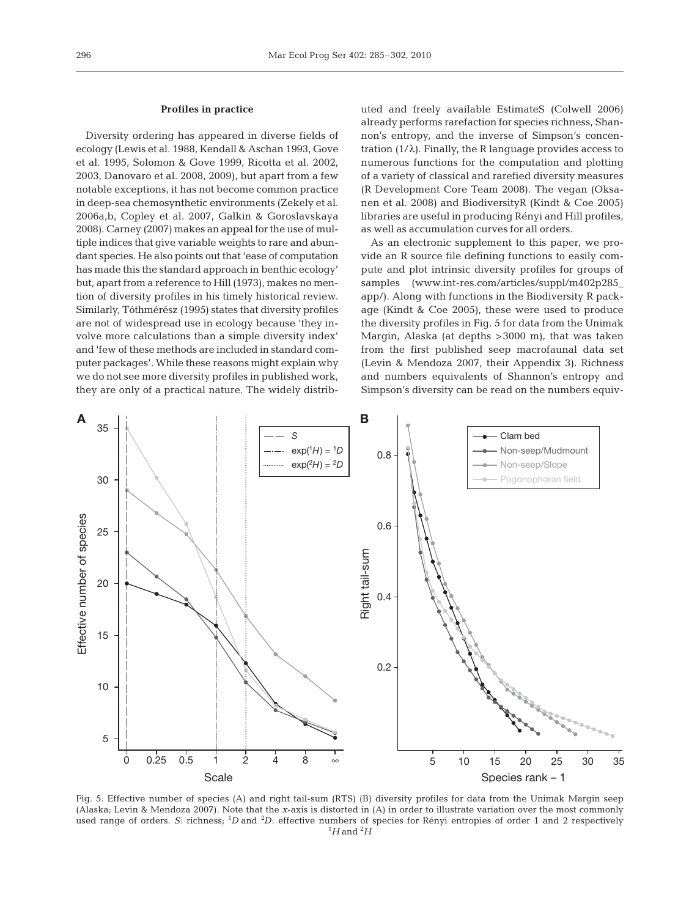## **Profiles in practice**

Diversity ordering has appeared in diverse fields of ecology (Lewis et al. 1988, Kendall & Aschan 1993, Gove et al. 1995, Solomon & Gove 1999, Ricotta et al. 2002, 2003, Danovaro et al. 2008, 2009), but apart from a few notable exceptions, it has not become common practice in deep-sea chemosynthetic environments (Zekely et al. 2006a,b, Copley et al. 2007, Galkin & Goroslavskaya 2008). Carney (2007) makes an appeal for the use of multiple indices that give variable weights to rare and abundant species. He also points out that 'ease of computation has made this the standard approach in benthic ecology' but, apart from a reference to Hill (1973), makes no mention of diversity profiles in his timely historical review. Similarly, Tóthmérész (1995) states that diversity profiles are not of widespread use in ecology because 'they involve more calculations than a simple diversity index' and 'few of these methods are included in standard computer packages'. While these reasons might explain why we do not see more diversity profiles in published work, they are only of a practical nature. The widely distributed and freely available EstimateS (Colwell 2006) already performs rarefaction for species richness, Shannon's entropy, and the inverse of Simpson's concentration (1/λ). Finally, the R language provides access to numerous functions for the computation and plotting of a variety of classical and rarefied diversity measures (R Development Core Team 2008). The vegan (Oksanen et al. 2008) and BiodiversityR (Kindt & Coe 2005) libraries are useful in producing Rényi and Hill profiles, as well as accumulation curves for all orders.

As an electronic supplement to this paper, we provide an R source file defining functions to easily compute and plot intrinsic diversity profiles for groups of samples (www.int-res.com/articles/suppl/m402p285\_ app/). Along with functions in the Biodiversity R package (Kindt & Coe 2005), these were used to produce the diversity profiles in Fig. 5 for data from the Unimak Margin, Alaska (at depths >3000 m), that was taken from the first published seep macrofaunal data set (Levin & Mendoza 2007, their Appendix 3). Richness and numbers equivalents of Shannon's entropy and Simpson's diversity can be read on the numbers equiv-



Fig. 5. Effective number of species (A) and right tail-sum (RTS) (B) diversity profiles for data from the Unimak Margin seep (Alaska; Levin & Mendoza 2007). Note that the *x*-axis is distorted in (A) in order to illustrate variation over the most commonly used range of orders. S: richness; <sup>1</sup>D and <sup>2</sup>D: effective numbers of species for Rényi entropies of order 1 and 2 respectively  $^{1}H$  and  $^{2}H$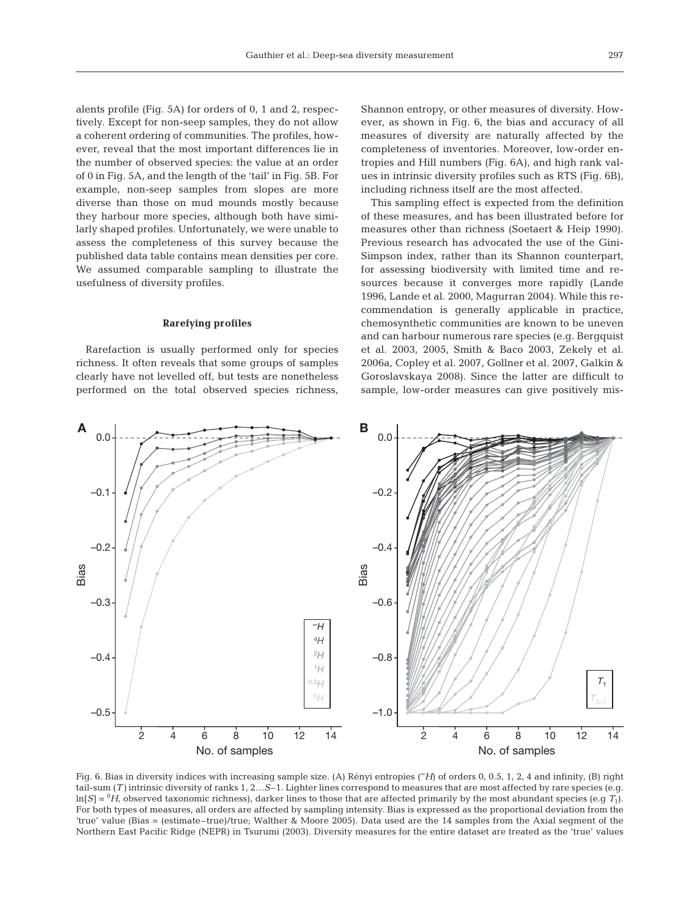alents profile (Fig. 5A) for orders of 0, 1 and 2, respectively. Except for non-seep samples, they do not allow a coherent ordering of communities. The profiles, however, reveal that the most important differences lie in the number of observed species: the value at an order of 0 in Fig. 5A, and the length of the 'tail' in Fig. 5B. For example, non-seep samples from slopes are more diverse than those on mud mounds mostly because they harbour more species, although both have similarly shaped profiles. Unfortunately, we were unable to assess the completeness of this survey because the published data table contains mean densities per core. We assumed comparable sampling to illustrate the usefulness of diversity profiles.

### **Rarefying profiles**

Rarefaction is usually performed only for species richness. It often reveals that some groups of samples clearly have not levelled off, but tests are nonetheless performed on the total observed species richness, Shannon entropy, or other measures of diversity. However, as shown in Fig. 6, the bias and accuracy of all measures of diversity are naturally affected by the completeness of inventories. Moreover, low-order entropies and Hill numbers (Fig. 6A), and high rank values in intrinsic diversity profiles such as RTS (Fig. 6B), including richness itself are the most affected.

This sampling effect is expected from the definition of these measures, and has been illustrated before for measures other than richness (Soetaert & Heip 1990). Previous research has advocated the use of the Gini-Simpson index, rather than its Shannon counterpart, for assessing biodiversity with limited time and resources because it converges more rapidly (Lande 1996, Lande et al. 2000, Magurran 2004). While this recommendation is generally applicable in practice, chemosynthetic communities are known to be uneven and can harbour numerous rare species (e.g. Bergquist et al. 2003, 2005, Smith & Baco 2003, Zekely et al. 2006a, Copley et al. 2007, Gollner et al. 2007, Galkin & Goroslavskaya 2008). Since the latter are difficult to sample, low-order measures can give positively mis-



Fig. 6. Bias in diversity indices with increasing sample size. (A) Rényi entropies (<sup>∞</sup>*H*) of orders 0, 0.5, 1, 2, 4 and infinity, (B) right tail-sum (*T)* intrinsic diversity of ranks 1, 2…*S*–1. Lighter lines correspond to measures that are most affected by rare species (e.g.  $\ln[S] = {}^0H$ , observed taxonomic richness), darker lines to those that are affected primarily by the most abundant species (e.g  $\mathcal{T}_1$ ). For both types of measures, all orders are affected by sampling intensity. Bias is expressed as the proportional deviation from the 'true' value (Bias = (estimate–true)/true; Walther & Moore 2005). Data used are the 14 samples from the Axial segment of the Northern East Pacific Ridge (NEPR) in Tsurumi (2003). Diversity measures for the entire dataset are treated as the 'true' values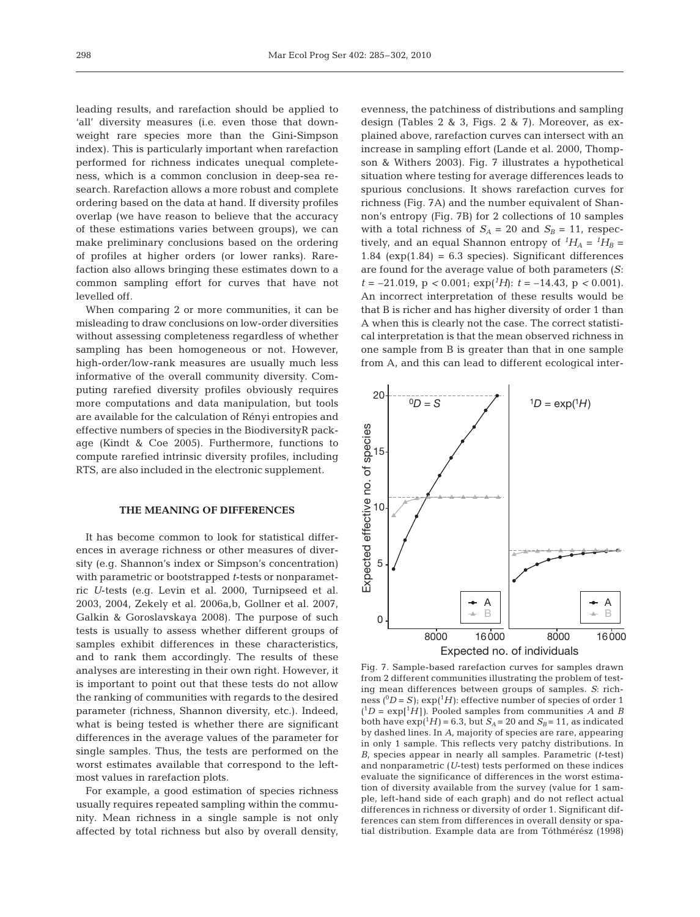leading results, and rarefaction should be applied to 'all' diversity measures (i.e. even those that downweight rare species more than the Gini-Simpson index). This is particularly important when rarefaction performed for richness indicates unequal completeness, which is a common conclusion in deep-sea research. Rarefaction allows a more robust and complete ordering based on the data at hand. If diversity profiles overlap (we have reason to believe that the accuracy of these estimations varies between groups), we can make preliminary conclusions based on the ordering of profiles at higher orders (or lower ranks). Rarefaction also allows bringing these estimates down to a common sampling effort for curves that have not levelled off.

When comparing 2 or more communities, it can be misleading to draw conclusions on low-order diversities without assessing completeness regardless of whether sampling has been homogeneous or not. However, high-order/low-rank measures are usually much less informative of the overall community diversity. Computing rarefied diversity profiles obviously requires more computations and data manipulation, but tools are available for the calculation of Rényi entropies and effective numbers of species in the BiodiversityR package (Kindt & Coe 2005). Furthermore, functions to compute rarefied intrinsic diversity profiles, including RTS, are also included in the electronic supplement.

## **THE MEANING OF DIFFERENCES**

It has become common to look for statistical differences in average richness or other measures of diversity (e.g. Shannon's index or Simpson's concentration) with parametric or bootstrapped *t*-tests or nonparametric *U*-tests (e.g. Levin et al. 2000, Turnipseed et al. 2003, 2004, Zekely et al. 2006a,b, Gollner et al. 2007, Galkin & Goroslavskaya 2008). The purpose of such tests is usually to assess whether different groups of samples exhibit differences in these characteristics, and to rank them accordingly. The results of these analyses are interesting in their own right. However, it is important to point out that these tests do not allow the ranking of communities with regards to the desired parameter (richness, Shannon diversity, etc.). Indeed, what is being tested is whether there are significant differences in the average values of the parameter for single samples. Thus, the tests are performed on the worst estimates available that correspond to the leftmost values in rarefaction plots.

For example, a good estimation of species richness usually requires repeated sampling within the community. Mean richness in a single sample is not only affected by total richness but also by overall density, evenness, the patchiness of distributions and sampling design (Tables 2 & 3, Figs. 2 & 7). Moreover, as explained above, rarefaction curves can intersect with an increase in sampling effort (Lande et al. 2000, Thompson & Withers 2003). Fig. 7 illustrates a hypothetical situation where testing for average differences leads to spurious conclusions. It shows rarefaction curves for richness (Fig. 7A) and the number equivalent of Shannon's entropy (Fig. 7B) for 2 collections of 10 samples with a total richness of  $S_A = 20$  and  $S_B = 11$ , respectively, and an equal Shannon entropy of  ${}^{1}H_{A} = {}^{1}H_{B} =$ 1.84 ( $exp(1.84) = 6.3$  species). Significant differences are found for the average value of both parameters (*S*:  $t = -21.019$ ,  $p < 0.001$ ;  $exp(^{1}H)$ :  $t = -14.43$ ,  $p < 0.001$ ). An incorrect interpretation of these results would be that B is richer and has higher diversity of order 1 than A when this is clearly not the case. The correct statistical interpretation is that the mean observed richness in one sample from B is greater than that in one sample from A, and this can lead to different ecological inter-



Fig. 7. Sample-based rarefaction curves for samples drawn from 2 different communities illustrating the problem of testing mean differences between groups of samples. *S*: richness ( ${}^{0}D = S$ ); exp( ${}^{1}H$ ): effective number of species of order 1  $(^1D = \exp[$ <sup>1</sup>H]). Pooled samples from communities *A* and *B* both have  $\exp({}^{1}H)$  = 6.3, but  $S_A$  = 20 and  $S_B$  = 11, as indicated by dashed lines. In *A*, majority of species are rare, appearing in only 1 sample. This reflects very patchy distributions. In *B*, species appear in nearly all samples. Parametric (*t*-test) and nonparametric (*U*-test) tests performed on these indices evaluate the significance of differences in the worst estimation of diversity available from the survey (value for 1 sample, left-hand side of each graph) and do not reflect actual differences in richness or diversity of order 1. Significant differences can stem from differences in overall density or spatial distribution. Example data are from Tóthmérész (1998)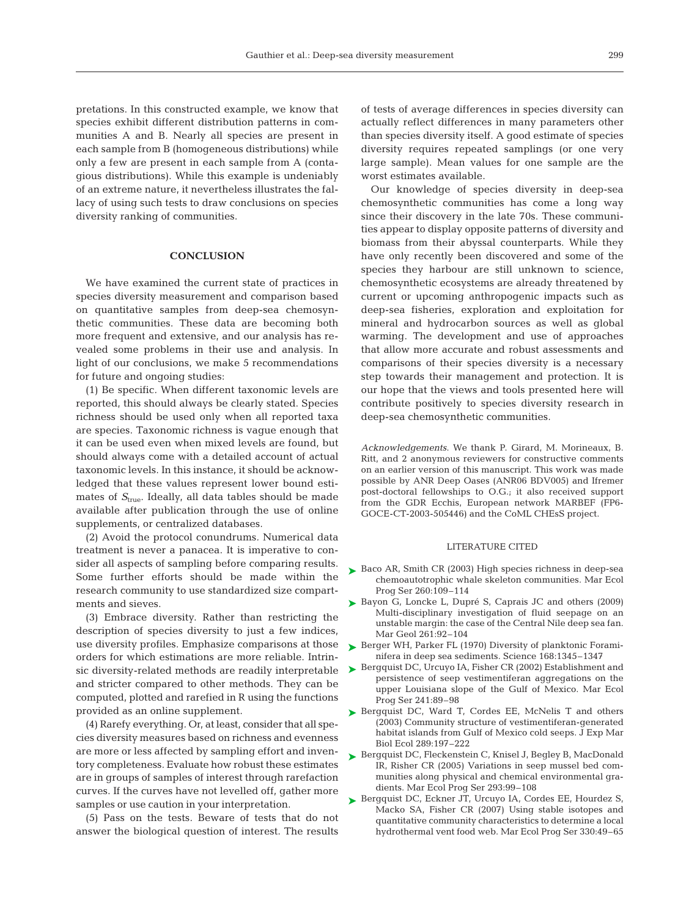pretations. In this constructed example, we know that species exhibit different distribution patterns in communities A and B. Nearly all species are present in each sample from B (homogeneous distributions) while only a few are present in each sample from A (contagious distributions). While this example is undeniably of an extreme nature, it nevertheless illustrates the fallacy of using such tests to draw conclusions on species diversity ranking of communities.

## **CONCLUSION**

We have examined the current state of practices in species diversity measurement and comparison based on quantitative samples from deep-sea chemosynthetic communities. These data are becoming both more frequent and extensive, and our analysis has revealed some problems in their use and analysis. In light of our conclusions, we make 5 recommendations for future and ongoing studies:

(1) Be specific*.* When different taxonomic levels are reported, this should always be clearly stated. Species richness should be used only when all reported taxa are species. Taxonomic richness is vague enough that it can be used even when mixed levels are found, but should always come with a detailed account of actual taxonomic levels. In this instance, it should be acknowledged that these values represent lower bound estimates of  $S_{true}$ . Ideally, all data tables should be made available after publication through the use of online supplements, or centralized databases.

(2) Avoid the protocol conundrums*.* Numerical data treatment is never a panacea. It is imperative to consider all aspects of sampling before comparing results. Some further efforts should be made within the research community to use standardized size compartments and sieves.

(3) Embrace diversity. Rather than restricting the description of species diversity to just a few indices, use diversity profiles. Emphasize comparisons at those orders for which estimations are more reliable. Intrinsic diversity-related methods are readily interpretable and stricter compared to other methods. They can be computed, plotted and rarefied in R using the functions provided as an online supplement.

(4) Rarefy everything*.* Or, at least, consider that all species diversity measures based on richness and evenness are more or less affected by sampling effort and inventory completeness. Evaluate how robust these estimates are in groups of samples of interest through rarefaction curves. If the curves have not levelled off, gather more samples or use caution in your interpretation.

(5) Pass on the tests*.* Beware of tests that do not answer the biological question of interest. The results of tests of average differences in species diversity can actually reflect differences in many parameters other than species diversity itself. A good estimate of species diversity requires repeated samplings (or one very large sample). Mean values for one sample are the worst estimates available.

Our knowledge of species diversity in deep-sea chemosynthetic communities has come a long way since their discovery in the late 70s. These communities appear to display opposite patterns of diversity and biomass from their abyssal counterparts. While they have only recently been discovered and some of the species they harbour are still unknown to science, chemosynthetic ecosystems are already threatened by current or upcoming anthropogenic impacts such as deep-sea fisheries, exploration and exploitation for mineral and hydrocarbon sources as well as global warming. The development and use of approaches that allow more accurate and robust assessments and comparisons of their species diversity is a necessary step towards their management and protection. It is our hope that the views and tools presented here will contribute positively to species diversity research in deep-sea chemosynthetic communities.

*Acknowledgements*. We thank P. Girard, M. Morineaux, B. Ritt, and 2 anonymous reviewers for constructive comments on an earlier version of this manuscript. This work was made possible by ANR Deep Oases (ANR06 BDV005) and Ifremer post-doctoral fellowships to O.G.; it also received support from the GDR Ecchis, European network MARBEF (FP6- GOCE-CT-2003-505446) and the CoML CHEsS project.

## LITERATURE CITED

- ► Baco AR, Smith CR (2003) High species richness in deep-sea chemoautotrophic whale skeleton communities. Mar Ecol Prog Ser 260:109–114
- ► Bayon G, Loncke L, Dupré S, Caprais JC and others (2009) Multi-disciplinary investigation of fluid seepage on an unstable margin: the case of the Central Nile deep sea fan. Mar Geol 261:92–104
- ▶ Berger WH, Parker FL (1970) Diversity of planktonic Foraminifera in deep sea sediments. Science 168:1345–1347
- ► Bergquist DC, Urcuyo IA, Fisher CR (2002) Establishment and persistence of seep vestimentiferan aggregations on the upper Louisiana slope of the Gulf of Mexico. Mar Ecol Prog Ser 241:89–98
- ▶ Bergquist DC, Ward T, Cordes EE, McNelis T and others (2003) Community structure of vestimentiferan-generated habitat islands from Gulf of Mexico cold seeps. J Exp Mar Biol Ecol 289:197–222
- ▶ Bergquist DC, Fleckenstein C, Knisel J, Begley B, MacDonald IR, Risher CR (2005) Variations in seep mussel bed communities along physical and chemical environmental gradients. Mar Ecol Prog Ser 293:99–108
- ▶ Bergquist DC, Eckner JT, Urcuyo IA, Cordes EE, Hourdez S, Macko SA, Fisher CR (2007) Using stable isotopes and quantitative community characteristics to determine a local hydrothermal vent food web. Mar Ecol Prog Ser 330:49–65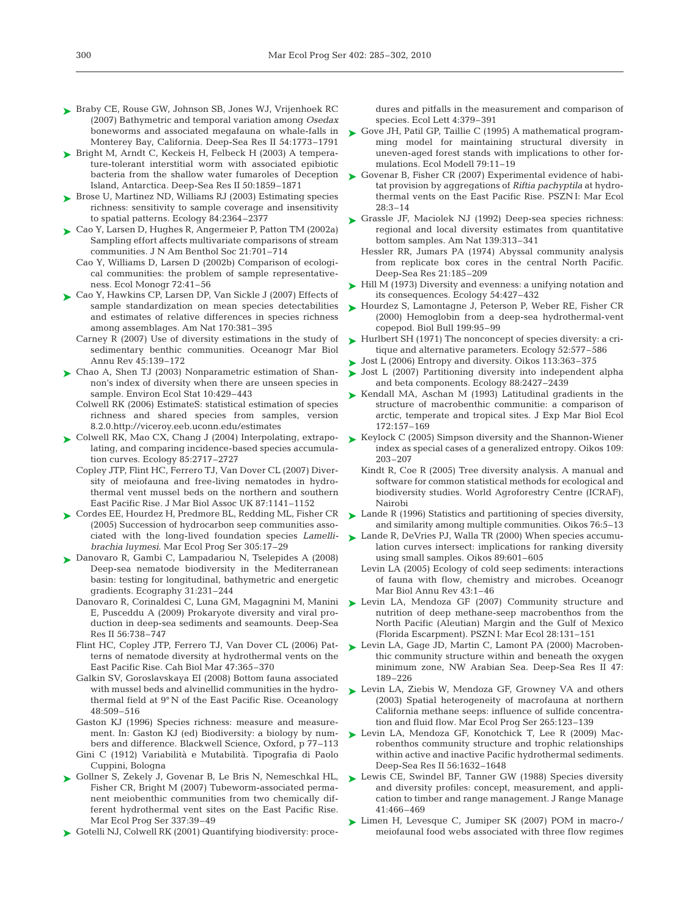- ► Braby CE, Rouse GW, Johnson SB, Jones WJ, Vrijenhoek RC (2007) Bathymetric and temporal variation among *Osedax* boneworms and associated megafauna on whale-falls in Monterey Bay, California. Deep-Sea Res II 54:1773–1791
- ► Bright M, Arndt C, Keckeis H, Felbeck H (2003) A temperature-tolerant interstitial worm with associated epibiotic bacteria from the shallow water fumaroles of Deception Island, Antarctica. Deep-Sea Res II 50:1859–1871
- ► Brose U, Martinez ND, Williams RJ (2003) Estimating species richness: sensitivity to sample coverage and insensitivity to spatial patterns. Ecology 84:2364–2377
- Cao Y, Larsen D, Hughes R, Angermeier P, Patton TM (2002a) ➤ Sampling effort affects multivariate comparisons of stream communities. J N Am Benthol Soc 21:701–714
	- Cao Y, Williams D, Larsen D (2002b) Comparison of ecological communities: the problem of sample representativeness. Ecol Monogr 72:41–56
- ► Cao Y, Hawkins CP, Larsen DP, Van Sickle J (2007) Effects of sample standardization on mean species detectabilities and estimates of relative differences in species richness among assemblages. Am Nat 170:381–395
	- Carney R (2007) Use of diversity estimations in the study of sedimentary benthic communities. Oceanogr Mar Biol Annu Rev 45:139–172
- ► Chao A, Shen TJ (2003) Nonparametric estimation of Shannon's index of diversity when there are unseen species in sample. Environ Ecol Stat 10:429–443
	- Colwell RK (2006) EstimateS: statistical estimation of species richness and shared species from samples, version 8.2.0.http://viceroy.eeb.uconn.edu/estimates
- ► Colwell RK, Mao CX, Chang J (2004) Interpolating, extrapolating, and comparing incidence-based species accumulation curves. Ecology 85:2717–2727
	- Copley JTP, Flint HC, Ferrero TJ, Van Dover CL (2007) Diversity of meiofauna and free-living nematodes in hydrothermal vent mussel beds on the northern and southern East Pacific Rise. J Mar Biol Assoc UK 87:1141–1152
- ► Cordes EE, Hourdez H, Predmore BL, Redding ML, Fisher CR (2005) Succession of hydrocarbon seep communities associated with the long-lived foundation species *Lamellibrachia luymesi*. Mar Ecol Prog Ser 305:17–29
- ► Danovaro R, Gambi C, Lampadariou N, Tselepides A (2008) Deep-sea nematode biodiversity in the Mediterranean basin: testing for longitudinal, bathymetric and energetic gradients. Ecography 31:231–244
	- Danovaro R, Corinaldesi C, Luna GM, Magagnini M, Manini E, Pusceddu A (2009) Prokaryote diversity and viral production in deep-sea sediments and seamounts. Deep-Sea Res II 56:738–747
	- Flint HC, Copley JTP, Ferrero TJ, Van Dover CL (2006) Patterns of nematode diversity at hydrothermal vents on the East Pacific Rise. Cah Biol Mar 47:365–370
	- Galkin SV, Goroslavskaya EI (2008) Bottom fauna associated with mussel beds and alvinellid communities in the hydrothermal field at 9° N of the East Pacific Rise. Oceanology 48:509–516
	- Gaston KJ (1996) Species richness: measure and measurement. In: Gaston KJ (ed) Biodiversity: a biology by numbers and difference. Blackwell Science, Oxford, p 77–113
	- Gini C (1912) Variabilità e Mutabilità. Tipografia di Paolo Cuppini, Bologna
- ► Gollner S, Zekely J, Govenar B, Le Bris N, Nemeschkal HL, Fisher CR, Bright M (2007) Tubeworm-associated permanent meiobenthic communities from two chemically different hydrothermal vent sites on the East Pacific Rise. Mar Ecol Prog Ser 337:39–49
- ► Gotelli NJ, Colwell RK (2001) Quantifying biodiversity: proce-

dures and pitfalls in the measurement and comparison of species. Ecol Lett 4:379–391

- Gove JH, Patil GP, Taillie C (1995) A mathematical program-➤ ming model for maintaining structural diversity in uneven-aged forest stands with implications to other formulations. Ecol Modell 79:11–19
- Govenar B, Fisher CR (2007) Experimental evidence of habitat provision by aggregations of *Riftia pachyptila* at hydrothermal vents on the East Pacific Rise. PSZN I: Mar Ecol 28:3–14 ➤
- ► Grassle JF, Maciolek NJ (1992) Deep-sea species richness: regional and local diversity estimates from quantitative bottom samples. Am Nat 139:313–341
	- Hessler RR, Jumars PA (1974) Abyssal community analysis from replicate box cores in the central North Pacific. Deep-Sea Res 21:185–209
- ► Hill M (1973) Diversity and evenness: a unifying notation and its consequences. Ecology 54:427–432
- ► Hourdez S, Lamontagne J, Peterson P, Weber RE, Fisher CR (2000) Hemoglobin from a deep-sea hydrothermal-vent copepod. Biol Bull 199:95–99
- ► Hurlbert SH (1971) The nonconcept of species diversity: a critique and alternative parameters. Ecology 52:577–586
- ► Jost L (2006) Entropy and diversity. Oikos 113:363-375
- ► Jost L (2007) Partitioning diversity into independent alpha and beta components. Ecology 88:2427–2439
- ► Kendall MA, Aschan M (1993) Latitudinal gradients in the structure of macrobenthic communitie: a comparison of arctic, temperate and tropical sites. J Exp Mar Biol Ecol 172:157–169
- ► Keylock C (2005) Simpson diversity and the Shannon-Wiener index as special cases of a generalized entropy. Oikos 109: 203–207
	- Kindt R, Coe R (2005) Tree diversity analysis. A manual and software for common statistical methods for ecological and biodiversity studies. World Agroforestry Centre (ICRAF), Nairobi
- Lande R (1996) Statistics and partitioning of species diversity, and similarity among multiple communities. Oikos 76:5–13 ➤
- ► Lande R, DeVries PJ, Walla TR (2000) When species accumulation curves intersect: implications for ranking diversity using small samples. Oikos 89:601–605
	- Levin LA (2005) Ecology of cold seep sediments: interactions of fauna with flow, chemistry and microbes. Oceanogr Mar Biol Annu Rev 43:1–46
- ▶ Levin LA, Mendoza GF (2007) Community structure and nutrition of deep methane-seep macrobenthos from the North Pacific (Aleutian) Margin and the Gulf of Mexico (Florida Escarpment). PSZN I: Mar Ecol 28:131–151
- Levin LA, Gage JD, Martin C, Lamont PA (2000) Macrobenthic community structure within and beneath the oxygen minimum zone, NW Arabian Sea. Deep-Sea Res II 47: 189–226 ➤
- ► Levin LA, Ziebis W, Mendoza GF, Growney VA and others (2003) Spatial heterogeneity of macrofauna at northern California methane seeps: influence of sulfide concentration and fluid flow. Mar Ecol Prog Ser 265:123–139
- ▶ Levin LA, Mendoza GF, Konotchick T, Lee R (2009) Macrobenthos community structure and trophic relationships within active and inactive Pacific hydrothermal sediments. Deep-Sea Res II 56:1632–1648
- ► Lewis CE, Swindel BF, Tanner GW (1988) Species diversity and diversity profiles: concept, measurement, and application to timber and range management. J Range Manage 41:466–469
- ► Limen H, Levesque C, Jumiper SK (2007) POM in macro-/ meiofaunal food webs associated with three flow regimes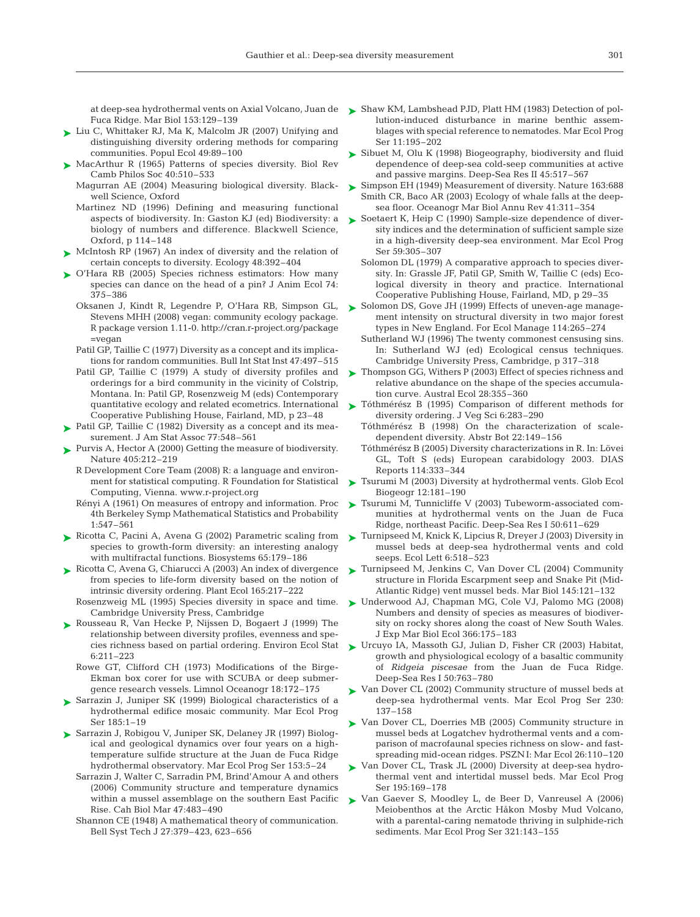Fuca Ridge. Mar Biol 153:129–139

- ► Liu C, Whittaker RJ, Ma K, Malcolm JR (2007) Unifying and distinguishing diversity ordering methods for comparing communities. Popul Ecol 49:89–100
- ► MacArthur R (1965) Patterns of species diversity. Biol Rev Camb Philos Soc 40:510–533
	- Magurran AE (2004) Measuring biological diversity. Blackwell Science, Oxford
	- Martinez ND (1996) Defining and measuring functional aspects of biodiversity. In: Gaston KJ (ed) Biodiversity: a biology of numbers and difference. Blackwell Science, Oxford, p 114–148
- ► McIntosh RP (1967) An index of diversity and the relation of certain concepts to diversity. Ecology 48:392–404
- ► O'Hara RB (2005) Species richness estimators: How many species can dance on the head of a pin? J Anim Ecol 74: 375–386
	- Oksanen J, Kindt R, Legendre P, O'Hara RB, Simpson GL, Stevens MHH (2008) vegan: community ecology package. R package version 1.11-0. http://cran.r-project.org/package =vegan
	- Patil GP, Taillie C (1977) Diversity as a concept and its implications for random communities. Bull Int Stat Inst 47:497–515
	- Patil GP, Taillie C (1979) A study of diversity profiles and orderings for a bird community in the vicinity of Colstrip, Montana. In: Patil GP, Rosenzweig M (eds) Contemporary quantitative ecology and related ecometrics. International Cooperative Publishing House, Fairland, MD, p 23–48
- ▶ Patil GP, Taillie C (1982) Diversity as a concept and its measurement. J Am Stat Assoc 77:548–561
- ▶ Purvis A, Hector A (2000) Getting the measure of biodiversity. Nature 405:212–219
	- R Development Core Team (2008) R: a language and environment for statistical computing. R Foundation for Statistical Computing, Vienna. www.r-project.org
	- Rényi A (1961) On measures of entropy and information. Proc 4th Berkeley Symp Mathematical Statistics and Probability 1:547–561
- ► Ricotta C, Pacini A, Avena G (2002) Parametric scaling from species to growth-form diversity: an interesting analogy with multifractal functions. Biosystems 65:179–186
- Ricotta C, Avena G, Chiarucci A (2003) An index of divergence ➤ from species to life-form diversity based on the notion of intrinsic diversity ordering. Plant Ecol 165:217–222
	- Rosenzweig ML (1995) Species diversity in space and time. Cambridge University Press, Cambridge
- ▶ Rousseau R, Van Hecke P, Nijssen D, Bogaert J (1999) The relationship between diversity profiles, evenness and spe-6:211–223
	- Rowe GT, Clifford CH (1973) Modifications of the Birge-Ekman box corer for use with SCUBA or deep submergence research vessels. Limnol Oceanogr 18:172–175
- ► Sarrazin J, Juniper SK (1999) Biological characteristics of a hydrothermal edifice mosaic community. Mar Ecol Prog Ser 185:1–19
- ► Sarrazin J, Robigou V, Juniper SK, Delaney JR (1997) Biological and geological dynamics over four years on a hightemperature sulfide structure at the Juan de Fuca Ridge hydrothermal observatory. Mar Ecol Prog Ser 153:5–24
	- Sarrazin J, Walter C, Sarradin PM, Brind'Amour A and others (2006) Community structure and temperature dynamics within a mussel assemblage on the southern East Pacific Rise. Cah Biol Mar 47:483–490
	- Shannon CE (1948) A mathematical theory of communication. Bell Syst Tech J 27:379–423, 623–656
- at deep-sea hydrothermal vents on Axial Volcano, Juan de Shaw KM, Lambshead PJD, Platt HM (1983) Detection of pol-➤ lution-induced disturbance in marine benthic assemblages with special reference to nematodes. Mar Ecol Prog Ser 11:195–202
	- ► Sibuet M, Olu K (1998) Biogeography, biodiversity and fluid dependence of deep-sea cold-seep communities at active and passive margins. Deep-Sea Res II 45:517–567
	- ► Simpson EH (1949) Measurement of diversity. Nature 163:688 Smith CR, Baco AR (2003) Ecology of whale falls at the deepsea floor. Oceanogr Mar Biol Annu Rev 41:311–354
	- ► Soetaert K, Heip C (1990) Sample-size dependence of diversity indices and the determination of sufficient sample size in a high-diversity deep-sea environment. Mar Ecol Prog Ser 59:305–307
		- Solomon DL (1979) A comparative approach to species diversity. In: Grassle JF, Patil GP, Smith W, Taillie C (eds) Ecological diversity in theory and practice. International Cooperative Publishing House, Fairland, MD, p 29–35
	- Solomon DS, Gove JH (1999) Effects of uneven-age management intensity on structural diversity in two major forest types in New England. For Ecol Manage 114:265–274 ➤
		- Sutherland WJ (1996) The twenty commonest censusing sins. In: Sutherland WJ (ed) Ecological census techniques. Cambridge University Press, Cambridge, p 317–318
	- ► Thompson GG, Withers P (2003) Effect of species richness and relative abundance on the shape of the species accumulation curve. Austral Ecol 28:355–360
	- Tóthmérész B (1995) Comparison of different methods for ➤ diversity ordering. J Veg Sci 6:283–290
		- Tóthmérész B (1998) On the characterization of scaledependent diversity. Abstr Bot 22:149–156
		- Tóthmérész B (2005) Diversity characterizations in R. In: Lövei GL, Toft S (eds) European carabidology 2003. DIAS Reports 114:333–344
	- ► Tsurumi M (2003) Diversity at hydrothermal vents. Glob Ecol Biogeogr 12:181–190
	- ► Tsurumi M, Tunnicliffe V (2003) Tubeworm-associated communities at hydrothermal vents on the Juan de Fuca Ridge, northeast Pacific. Deep-Sea Res I 50:611–629
	- Turnipseed M, Knick K, Lipcius R, Dreyer J (2003) Diversity in ➤ mussel beds at deep-sea hydrothermal vents and cold seeps. Ecol Lett 6:518–523
	- ► Turnipseed M, Jenkins C, Van Dover CL (2004) Community structure in Florida Escarpment seep and Snake Pit (Mid-Atlantic Ridge) vent mussel beds. Mar Biol 145:121–132
	- Underwood AJ, Chapman MG, Cole VJ, Palomo MG (2008) ➤ Numbers and density of species as measures of biodiversity on rocky shores along the coast of New South Wales. J Exp Mar Biol Ecol 366:175–183
- cies richness based on partial ordering. Environ Ecol Stat Urcuyo IA, Massoth GJ, Julian D, Fisher CR (2003) Habitat, ➤ growth and physiological ecology of a basaltic community of *Ridgeia piscesae* from the Juan de Fuca Ridge. Deep-Sea Res I 50:763–780
	- Van Dover CL (2002) Community structure of mussel beds at deep-sea hydrothermal vents. Mar Ecol Prog Ser 230: 137–158 ➤
	- ► Van Dover CL, Doerries MB (2005) Community structure in mussel beds at Logatchev hydrothermal vents and a comparison of macrofaunal species richness on slow- and fastspreading mid-ocean ridges. PSZN I: Mar Ecol 26:110–120
	- ► Van Dover CL, Trask JL (2000) Diversity at deep-sea hydrothermal vent and intertidal mussel beds. Mar Ecol Prog Ser 195:169–178
	- ► Van Gaever S, Moodley L, de Beer D, Vanreusel A (2006) Meiobenthos at the Arctic Håkon Mosby Mud Volcano, with a parental-caring nematode thriving in sulphide-rich sediments. Mar Ecol Prog Ser 321:143–155